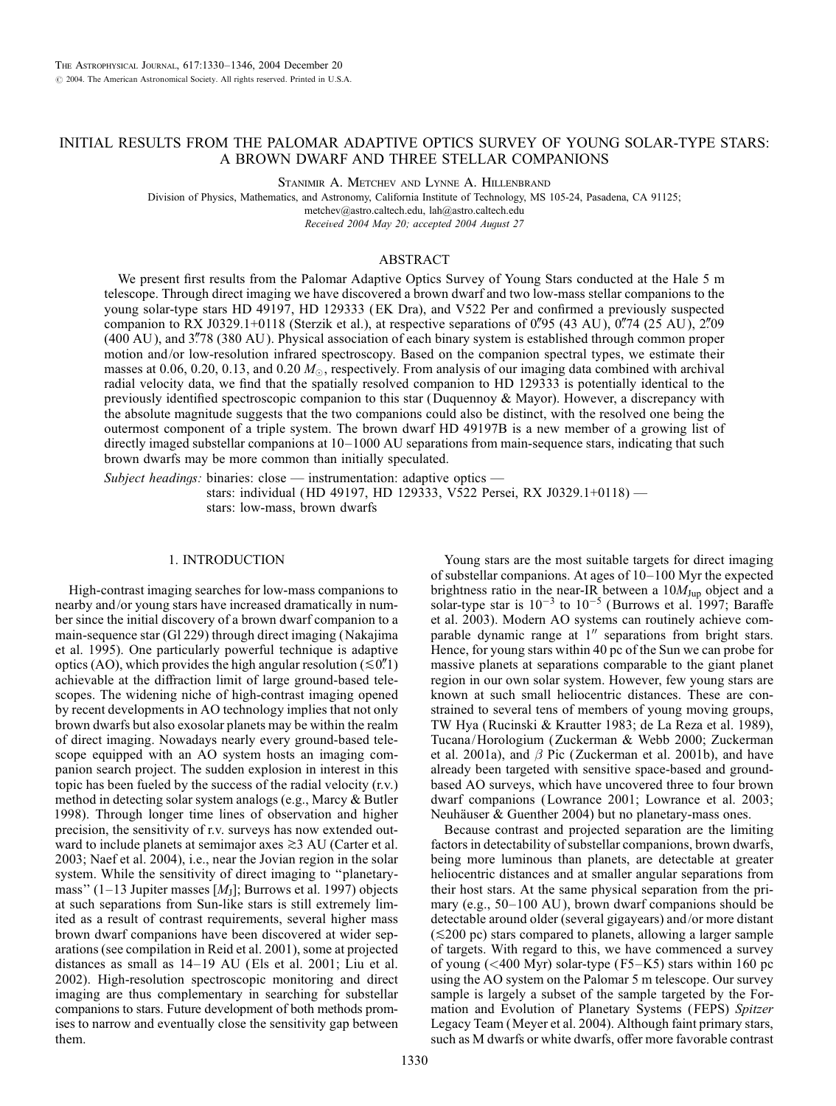# INITIAL RESULTS FROM THE PALOMAR ADAPTIVE OPTICS SURVEY OF YOUNG SOLAR-TYPE STARS: A BROWN DWARF AND THREE STELLAR COMPANIONS

Stanimir A. Metchev and Lynne A. Hillenbrand

Division of Physics, Mathematics, and Astronomy, California Institute of Technology, MS 105-24, Pasadena, CA 91125; metchev@astro.caltech.edu, lah@astro.caltech.edu

Received 2004 May 20; accepted 2004 August 27

### ABSTRACT

We present first results from the Palomar Adaptive Optics Survey of Young Stars conducted at the Hale 5 m telescope. Through direct imaging we have discovered a brown dwarf and two low-mass stellar companions to the young solar-type stars HD 49197, HD 129333 (EK Dra), and V522 Per and confirmed a previously suspected companion to RX J0329.1+0118 (Sterzik et al.), at respective separations of 0.795 (43 AU), 0.74 (25 AU), 2.709 (400 AU), and 3.78 (380 AU). Physical association of each binary system is established through common proper motion and/or low-resolution infrared spectroscopy. Based on the companion spectral types, we estimate their masses at 0.06, 0.20, 0.13, and 0.20  $M_{\odot}$ , respectively. From analysis of our imaging data combined with archival radial velocity data, we find that the spatially resolved companion to HD 129333 is potentially identical to the previously identified spectroscopic companion to this star (Duquennoy & Mayor). However, a discrepancy with the absolute magnitude suggests that the two companions could also be distinct, with the resolved one being the outermost component of a triple system. The brown dwarf HD 49197B is a new member of a growing list of directly imaged substellar companions at 10–1000 AU separations from main-sequence stars, indicating that such brown dwarfs may be more common than initially speculated.

Subject headings: binaries: close — instrumentation: adaptive optics stars: individual (HD 49197, HD 129333, V522 Persei, RX J0329.1+0118) stars: low-mass, brown dwarfs

### 1. INTRODUCTION

High-contrast imaging searches for low-mass companions to nearby and/or young stars have increased dramatically in number since the initial discovery of a brown dwarf companion to a main-sequence star (Gl 229) through direct imaging (Nakajima et al. 1995). One particularly powerful technique is adaptive optics (AO), which provides the high angular resolution ( $\leq 0$ .<sup>n'</sup>1) achievable at the diffraction limit of large ground-based telescopes. The widening niche of high-contrast imaging opened by recent developments in AO technology implies that not only brown dwarfs but also exosolar planets may be within the realm of direct imaging. Nowadays nearly every ground-based telescope equipped with an AO system hosts an imaging companion search project. The sudden explosion in interest in this topic has been fueled by the success of the radial velocity (r.v.) method in detecting solar system analogs (e.g., Marcy & Butler 1998). Through longer time lines of observation and higher precision, the sensitivity of r.v. surveys has now extended outward to include planets at semimajor axes  $\gtrsim$  3 AU (Carter et al. 2003; Naef et al. 2004), i.e., near the Jovian region in the solar system. While the sensitivity of direct imaging to ''planetarymass" (1–13 Jupiter masses  $[M<sub>I</sub>]$ ; Burrows et al. 1997) objects at such separations from Sun-like stars is still extremely limited as a result of contrast requirements, several higher mass brown dwarf companions have been discovered at wider separations (see compilation in Reid et al. 2001), some at projected distances as small as 14–19 AU (Els et al. 2001; Liu et al. 2002). High-resolution spectroscopic monitoring and direct imaging are thus complementary in searching for substellar companions to stars. Future development of both methods promises to narrow and eventually close the sensitivity gap between them.

Young stars are the most suitable targets for direct imaging of substellar companions. At ages of 10–100 Myr the expected brightness ratio in the near-IR between a  $10M_{Jup}$  object and a solar-type star is  $10^{-3}$  to  $10^{-5}$  (Burrows et al. 1997; Baraffe et al. 2003). Modern AO systems can routinely achieve comparable dynamic range at  $1^{\prime\prime}$  separations from bright stars. Hence, for young stars within 40 pc of the Sun we can probe for massive planets at separations comparable to the giant planet region in our own solar system. However, few young stars are known at such small heliocentric distances. These are constrained to several tens of members of young moving groups, TW Hya (Rucinski & Krautter 1983; de La Reza et al. 1989), Tucana/Horologium (Zuckerman & Webb 2000; Zuckerman et al. 2001a), and  $\beta$  Pic (Zuckerman et al. 2001b), and have already been targeted with sensitive space-based and groundbased AO surveys, which have uncovered three to four brown dwarf companions (Lowrance 2001; Lowrance et al. 2003; Neuhäuser  $&$  Guenther 2004) but no planetary-mass ones.

Because contrast and projected separation are the limiting factors in detectability of substellar companions, brown dwarfs, being more luminous than planets, are detectable at greater heliocentric distances and at smaller angular separations from their host stars. At the same physical separation from the primary (e.g., 50–100 AU ), brown dwarf companions should be detectable around older (several gigayears) and/or more distant  $(\leq 200 \text{ pc})$  stars compared to planets, allowing a larger sample of targets. With regard to this, we have commenced a survey of young  $( $400 \text{ Myr}$ ) solar-type (F5–K5) stars within 160 pc$ using the AO system on the Palomar 5 m telescope. Our survey sample is largely a subset of the sample targeted by the Formation and Evolution of Planetary Systems (FEPS) Spitzer Legacy Team (Meyer et al. 2004). Although faint primary stars, such as M dwarfs or white dwarfs, offer more favorable contrast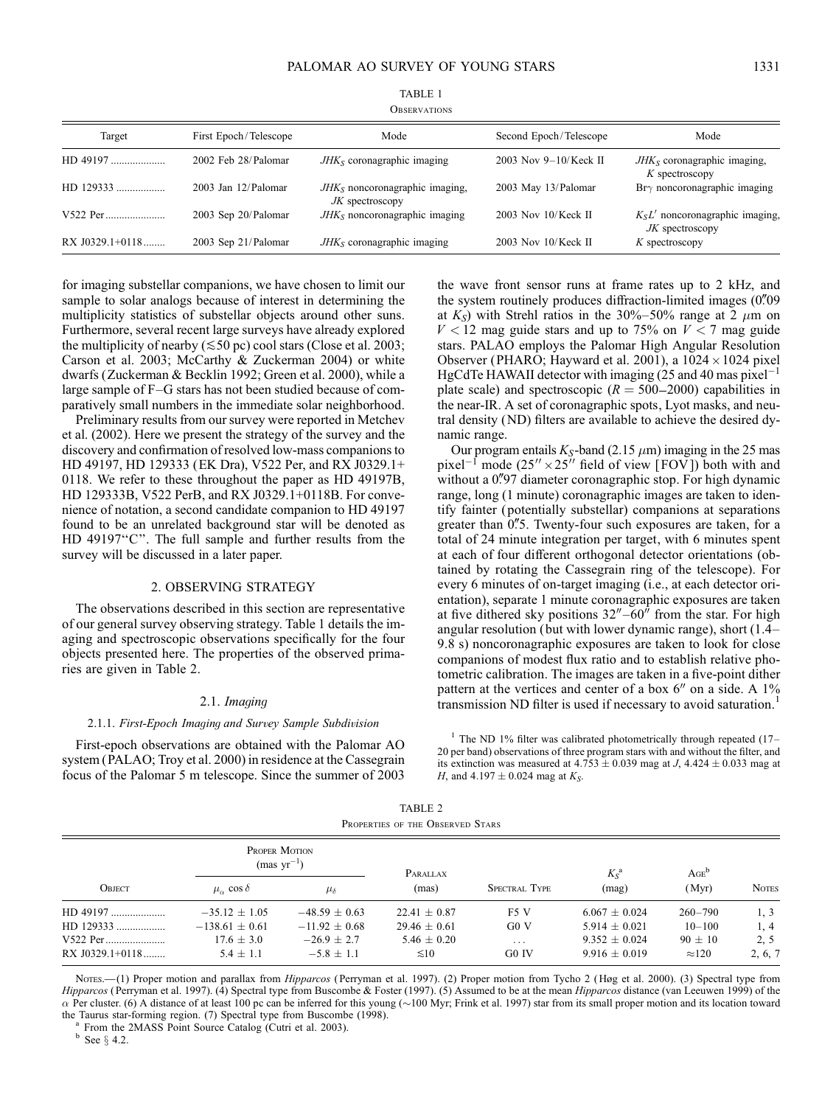| Target          | First Epoch/Telescope    | Mode                                                  | Second Epoch/Telescope   | Mode                                                    |
|-----------------|--------------------------|-------------------------------------------------------|--------------------------|---------------------------------------------------------|
| HD 49197        | 2002 Feb 28/Palomar      | $JHKS$ coronagraphic imaging                          | 2003 Nov $9-10$ /Keck II | $JHKS$ coronagraphic imaging,<br>$K$ spectroscopy       |
| HD 129333       | $2003$ Jan $12/P$ alomar | $JHKS$ noncoronagraphic imaging,<br>$JK$ spectroscopy | 2003 May 13/Palomar      | $Br\gamma$ noncoronagraphic imaging                     |
| V522 Per        | 2003 Sep 20/Palomar      | $JHKS$ noncoronagraphic imaging                       | $2003$ Nov $10$ /Keck II | $K_S L'$ noncoronagraphic imaging,<br>$JK$ spectroscopy |
| RX J0329.1+0118 | 2003 Sep 21/Palomar      | $JHKS$ coronagraphic imaging                          | $2003$ Nov $10$ /Keck II | $K$ spectroscopy                                        |

TABLE 1 **OBSERVATIONS** 

for imaging substellar companions, we have chosen to limit our sample to solar analogs because of interest in determining the multiplicity statistics of substellar objects around other suns. Furthermore, several recent large surveys have already explored the multiplicity of nearby ( $\leq 50$  pc) cool stars (Close et al. 2003; Carson et al. 2003; McCarthy & Zuckerman 2004) or white dwarfs (Zuckerman & Becklin 1992; Green et al. 2000), while a large sample of F–G stars has not been studied because of comparatively small numbers in the immediate solar neighborhood.

Preliminary results from our survey were reported in Metchev et al. (2002). Here we present the strategy of the survey and the discovery and confirmation of resolved low-mass companions to HD 49197, HD 129333 (EK Dra), V522 Per, and RX J0329.1+ 0118. We refer to these throughout the paper as HD 49197B, HD 129333B, V522 PerB, and RX J0329.1+0118B. For convenience of notation, a second candidate companion to HD 49197 found to be an unrelated background star will be denoted as HD 49197''C''. The full sample and further results from the survey will be discussed in a later paper.

# 2. OBSERVING STRATEGY

The observations described in this section are representative of our general survey observing strategy. Table 1 details the imaging and spectroscopic observations specifically for the four objects presented here. The properties of the observed primaries are given in Table 2.

### $2.1.$  Imaging

#### 2.1.1. First-Epoch Imaging and Survey Sample Subdivision

First-epoch observations are obtained with the Palomar AO system (PALAO; Troy et al. 2000) in residence at the Cassegrain focus of the Palomar 5 m telescope. Since the summer of 2003 the wave front sensor runs at frame rates up to 2 kHz, and the system routinely produces diffraction-limited images  $(0\rlap{.}^{\prime\prime}09$ at  $K_S$ ) with Strehl ratios in the 30%–50% range at 2  $\mu$ m on  $V < 12$  mag guide stars and up to 75% on  $V < 7$  mag guide stars. PALAO employs the Palomar High Angular Resolution Observer (PHARO; Hayward et al. 2001), a  $1024 \times 1024$  pixel HgCdTe HAWAII detector with imaging  $(25$  and 40 mas pixel<sup>-1</sup> plate scale) and spectroscopic  $(R = 500-2000)$  capabilities in the near-IR. A set of coronagraphic spots, Lyot masks, and neutral density (ND) filters are available to achieve the desired dynamic range.

Our program entails  $K_S$ -band (2.15  $\mu$ m) imaging in the 25 mas pixel<sup>-1</sup> mode  $(25'' \times 25'')$  field of view [FOV]) both with and without a 0"97 diameter coronagraphic stop. For high dynamic range, long (1 minute) coronagraphic images are taken to identify fainter ( potentially substellar) companions at separations greater than 0"5. Twenty-four such exposures are taken, for a total of 24 minute integration per target, with 6 minutes spent at each of four different orthogonal detector orientations (obtained by rotating the Cassegrain ring of the telescope). For every 6 minutes of on-target imaging (i.e., at each detector orientation), separate 1 minute coronagraphic exposures are taken at five dithered sky positions  $32'' - 60''$  from the star. For high angular resolution ( but with lower dynamic range), short (1.4– 9.8 s) noncoronagraphic exposures are taken to look for close companions of modest flux ratio and to establish relative photometric calibration. The images are taken in a five-point dither pattern at the vertices and center of a box  $6''$  on a side. A  $1\%$ transmission ND filter is used if necessary to avoid saturation.<sup>1</sup>

<sup>1</sup> The ND 1% filter was calibrated photometrically through repeated  $(17-$ 20 per band) observations of three program stars with and without the filter, and its extinction was measured at  $4.753 \pm 0.039$  mag at J,  $4.424 \pm 0.033$  mag at *H*, and  $4.197 \pm 0.024$  mag at  $K_S$ .

| PROPERTIES OF THE OBSERVED STARS |                                         |                   |                  |                      |                    |               |              |
|----------------------------------|-----------------------------------------|-------------------|------------------|----------------------|--------------------|---------------|--------------|
|                                  | <b>PROPER MOTION</b><br>$(mas yr^{-1})$ |                   | PARALLAX         |                      | $K_S^{\mathbf{a}}$ | $AGE^b$       |              |
| Овлест                           | $\mu_{\alpha}$ cos $\delta$             | $\mu_{\delta}$    | (mas)            | <b>SPECTRAL TYPE</b> | (mag)              | (Myr)         | <b>NOTES</b> |
| $HD$ 49197                       | $-35.12 \pm 1.05$                       | $-48.59 + 0.63$   | $22.41 \pm 0.87$ | F <sub>5</sub> V     | $6.067 \pm 0.024$  | $260 - 790$   | 1, 3         |
| HD 129333                        | $-138.61 \pm 0.61$                      | $-11.92 \pm 0.68$ | $29.46 + 0.61$   | G0V                  | $5.914 \pm 0.021$  | $10 - 100$    | 1, 4         |
| V522 Per                         | $17.6 \pm 3.0$                          | $-26.9 + 2.7$     | $5.46 \pm 0.20$  | $\cdots$             | $9.352 \pm 0.024$  | $90 \pm 10$   | 2, 5         |
| $RX$ J0329.1+0118                | $5.4 \pm 1.1$                           | $-5.8 + 1.1$      | $\leq 10$        | G <sub>0</sub> IV    | $9.916 \pm 0.019$  | $\approx 120$ | 2, 6, 7      |

TABLE 2

Nores.—(1) Proper motion and parallax from Hipparcos (Perryman et al. 1997). (2) Proper motion from Tycho 2 (Høg et al. 2000). (3) Spectral type from Hipparcos (Perryman et al. 1997). (4) Spectral type from Buscombe & Foster (1997). (5) Assumed to be at the mean Hipparcos distance (van Leeuwen 1999) of the  $\alpha$  Per cluster. (6) A distance of at least 100 pc can be inferred for this young (~100 Myr; Frink et al. 1997) star from its small proper motion and its location toward the Taurus star-forming region. (7) Spectral type from Buscombe (1998).<br><sup>a</sup> From the 2MASS Point Source Catalog (Cutri et al. 2003).<br><sup>b</sup> See  $\frac{6}{3}$  4.2.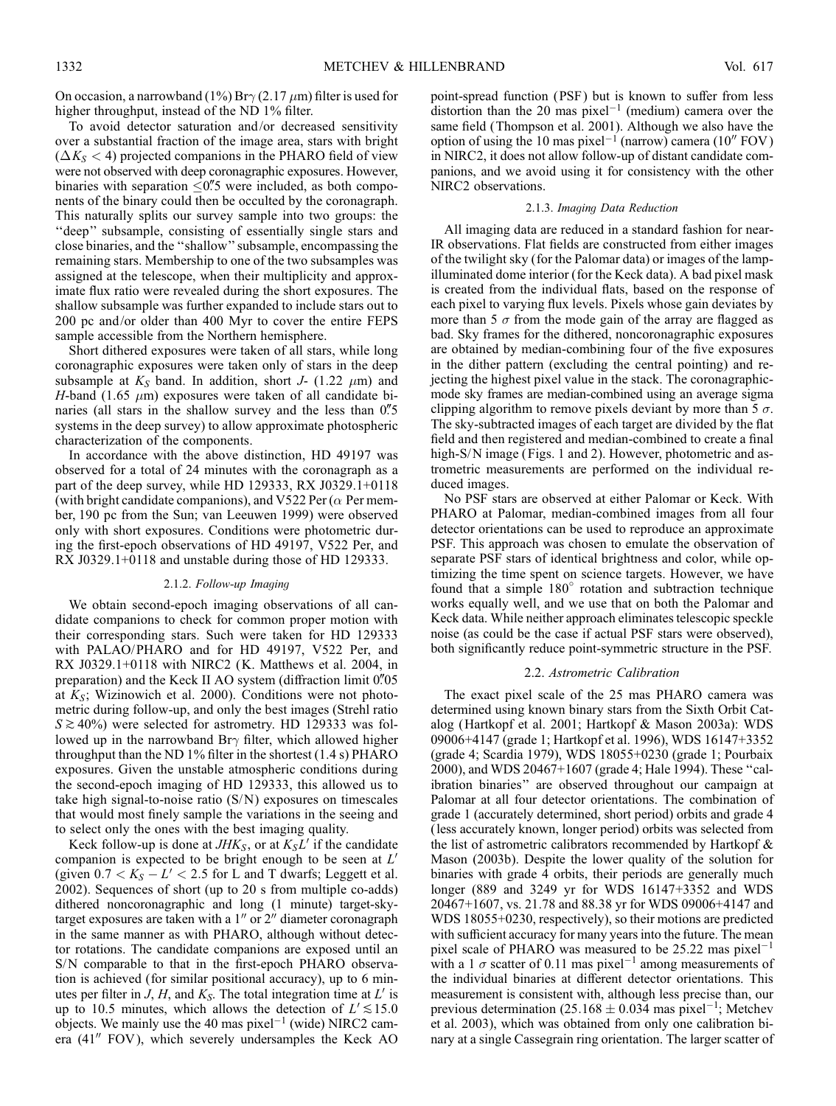On occasion, a narrowband (1%) Br $\gamma$  (2.17  $\mu$ m) filter is used for higher throughput, instead of the ND 1% filter.

To avoid detector saturation and/or decreased sensitivity over a substantial fraction of the image area, stars with bright  $(\Delta K_S < 4)$  projected companions in the PHARO field of view were not observed with deep coronagraphic exposures. However, binaries with separation  $\leq 0\rlap{.}''$  were included, as both components of the binary could then be occulted by the coronagraph. This naturally splits our survey sample into two groups: the "deep" subsample, consisting of essentially single stars and close binaries, and the ''shallow'' subsample, encompassing the remaining stars. Membership to one of the two subsamples was assigned at the telescope, when their multiplicity and approximate flux ratio were revealed during the short exposures. The shallow subsample was further expanded to include stars out to 200 pc and/or older than 400 Myr to cover the entire FEPS sample accessible from the Northern hemisphere.

Short dithered exposures were taken of all stars, while long coronagraphic exposures were taken only of stars in the deep subsample at  $K_S$  band. In addition, short J- (1.22  $\mu$ m) and H-band (1.65  $\mu$ m) exposures were taken of all candidate binaries (all stars in the shallow survey and the less than  $0\rlap{.}^{\prime\prime}5$ systems in the deep survey) to allow approximate photospheric characterization of the components.

In accordance with the above distinction, HD 49197 was observed for a total of 24 minutes with the coronagraph as a part of the deep survey, while HD 129333, RX J0329.1+0118 (with bright candidate companions), and V522 Per ( $\alpha$  Per member, 190 pc from the Sun; van Leeuwen 1999) were observed only with short exposures. Conditions were photometric during the first-epoch observations of HD 49197, V522 Per, and RX J0329.1+0118 and unstable during those of HD 129333.

#### 2.1.2. Follow-up Imaging

We obtain second-epoch imaging observations of all candidate companions to check for common proper motion with their corresponding stars. Such were taken for HD 129333 with PALAO/PHARO and for HD 49197, V522 Per, and RX J0329.1+0118 with NIRC2 (K. Matthews et al. 2004, in preparation) and the Keck II AO system (diffraction limit 0.05 at  $K_s$ ; Wizinowich et al. 2000). Conditions were not photometric during follow-up, and only the best images (Strehl ratio  $S \gtrsim 40\%$ ) were selected for astrometry. HD 129333 was followed up in the narrowband Br $\gamma$  filter, which allowed higher throughput than the ND 1% filter in the shortest (1.4 s) PHARO exposures. Given the unstable atmospheric conditions during the second-epoch imaging of HD 129333, this allowed us to take high signal-to-noise ratio (S/N) exposures on timescales that would most finely sample the variations in the seeing and to select only the ones with the best imaging quality.

Keck follow-up is done at  $JHK<sub>S</sub>$ , or at  $K<sub>S</sub>L'$  if the candidate companion is expected to be bright enough to be seen at  $L'$ (given  $0.7 < K_S - L' < 2.5$  for L and T dwarfs; Leggett et al. 2002). Sequences of short (up to 20 s from multiple co-adds) dithered noncoronagraphic and long (1 minute) target-skytarget exposures are taken with a  $1''$  or  $2''$  diameter coronagraph in the same manner as with PHARO, although without detector rotations. The candidate companions are exposed until an S/N comparable to that in the first-epoch PHARO observation is achieved (for similar positional accuracy), up to 6 minutes per filter in J, H, and  $K_S$ . The total integration time at L' is up to 10.5 minutes, which allows the detection of  $L' \lesssim 15.0$ objects. We mainly use the 40 mas pixel<sup> $-1$ </sup> (wide) NIRC2 camera  $(41''$  FOV), which severely undersamples the Keck AO

point-spread function (PSF ) but is known to suffer from less distortion than the 20 mas  $pixel^{-1}$  (medium) camera over the same field (Thompson et al. 2001). Although we also have the option of using the 10 mas pixel<sup> $-1$ </sup> (narrow) camera (10 $^{\prime\prime}$  FOV) in NIRC2, it does not allow follow-up of distant candidate companions, and we avoid using it for consistency with the other NIRC2 observations.

#### 2.1.3. Imaging Data Reduction

All imaging data are reduced in a standard fashion for near-IR observations. Flat fields are constructed from either images of the twilight sky (for the Palomar data) or images of the lampilluminated dome interior (for the Keck data). A bad pixel mask is created from the individual flats, based on the response of each pixel to varying flux levels. Pixels whose gain deviates by more than 5  $\sigma$  from the mode gain of the array are flagged as bad. Sky frames for the dithered, noncoronagraphic exposures are obtained by median-combining four of the five exposures in the dither pattern (excluding the central pointing) and rejecting the highest pixel value in the stack. The coronagraphicmode sky frames are median-combined using an average sigma clipping algorithm to remove pixels deviant by more than  $5\sigma$ . The sky-subtracted images of each target are divided by the flat field and then registered and median-combined to create a final high-S/N image (Figs. 1 and 2). However, photometric and astrometric measurements are performed on the individual reduced images.

No PSF stars are observed at either Palomar or Keck. With PHARO at Palomar, median-combined images from all four detector orientations can be used to reproduce an approximate PSF. This approach was chosen to emulate the observation of separate PSF stars of identical brightness and color, while optimizing the time spent on science targets. However, we have found that a simple  $180^\circ$  rotation and subtraction technique works equally well, and we use that on both the Palomar and Keck data. While neither approach eliminates telescopic speckle noise (as could be the case if actual PSF stars were observed), both significantly reduce point-symmetric structure in the PSF.

#### 2.2. Astrometric Calibration

The exact pixel scale of the 25 mas PHARO camera was determined using known binary stars from the Sixth Orbit Catalog (Hartkopf et al. 2001; Hartkopf & Mason 2003a): WDS 09006+4147 (grade 1; Hartkopf et al. 1996), WDS 16147+3352 (grade 4; Scardia 1979), WDS 18055+0230 (grade 1; Pourbaix 2000), and WDS 20467+1607 (grade 4; Hale 1994). These ''calibration binaries'' are observed throughout our campaign at Palomar at all four detector orientations. The combination of grade 1 (accurately determined, short period) orbits and grade 4 (less accurately known, longer period) orbits was selected from the list of astrometric calibrators recommended by Hartkopf & Mason (2003b). Despite the lower quality of the solution for binaries with grade 4 orbits, their periods are generally much longer (889 and 3249 yr for WDS 16147+3352 and WDS 20467+1607, vs. 21.78 and 88.38 yr for WDS 09006+4147 and WDS 18055+0230, respectively), so their motions are predicted with sufficient accuracy for many years into the future. The mean pixel scale of PHARO was measured to be 25.22 mas pixel<sup>-1</sup> with a 1  $\sigma$  scatter of 0.11 mas pixel<sup>-1</sup> among measurements of the individual binaries at different detector orientations. This measurement is consistent with, although less precise than, our previous determination (25.168  $\pm$  0.034 mas pixel<sup>-1</sup>; Metchev et al. 2003), which was obtained from only one calibration binary at a single Cassegrain ring orientation. The larger scatter of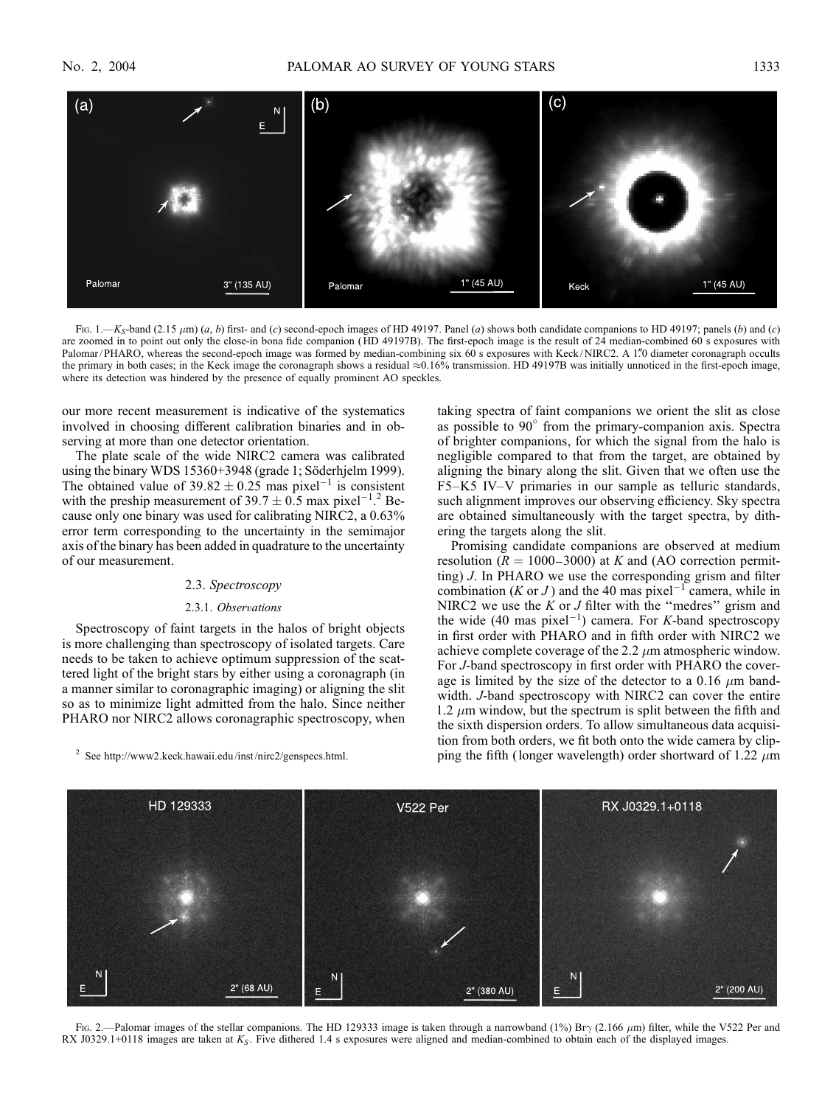

FIG. 1.— $K_S$ -band (2.15  $\mu$ m) (a, b) first- and (c) second-epoch images of HD 49197. Panel (a) shows both candidate companions to HD 49197; panels (b) and (c) are zoomed in to point out only the close-in bona fide companion (HD 49197B). The first-epoch image is the result of 24 median-combined 60 s exposures with Palomar/PHARO, whereas the second-epoch image was formed by median-combining six 60 s exposures with Keck/NIRC2. A 1"0 diameter coronagraph occults the primary in both cases; in the Keck image the coronagraph shows a residual  $\approx 0.16\%$  transmission. HD 49197B was initially unnoticed in the first-epoch image, where its detection was hindered by the presence of equally prominent AO speckles.

our more recent measurement is indicative of the systematics involved in choosing different calibration binaries and in observing at more than one detector orientation.

The plate scale of the wide NIRC2 camera was calibrated using the binary WDS 15360+3948 (grade 1; Söderhjelm 1999). The obtained value of  $39.82 \pm 0.25$  mas pixel<sup>-1</sup> is consistent with the preship measurement of 39.7  $\pm$  0.5 max pixel<sup>-1</sup>.<sup>2</sup> Because only one binary was used for calibrating NIRC2, a 0.63% error term corresponding to the uncertainty in the semimajor axis of the binary has been added in quadrature to the uncertainty of our measurement.

#### 2.3. Spectroscopy

# 2.3.1. Observations

Spectroscopy of faint targets in the halos of bright objects is more challenging than spectroscopy of isolated targets. Care needs to be taken to achieve optimum suppression of the scattered light of the bright stars by either using a coronagraph (in a manner similar to coronagraphic imaging) or aligning the slit so as to minimize light admitted from the halo. Since neither PHARO nor NIRC2 allows coronagraphic spectroscopy, when

<sup>2</sup> See http://www2.keck.hawaii.edu/inst /nirc2/genspecs.html.

taking spectra of faint companions we orient the slit as close as possible to 90° from the primary-companion axis. Spectra of brighter companions, for which the signal from the halo is negligible compared to that from the target, are obtained by aligning the binary along the slit. Given that we often use the F5–K5 IV–V primaries in our sample as telluric standards, such alignment improves our observing efficiency. Sky spectra are obtained simultaneously with the target spectra, by dithering the targets along the slit.

Promising candidate companions are observed at medium resolution ( $R = 1000-3000$ ) at K and (AO correction permitting) J. In PHARO we use the corresponding grism and filter combination (*K* or *J*) and the 40 mas pixel<sup>-1</sup> camera, while in NIRC2 we use the  $K$  or  $J$  filter with the "medres" grism and the wide (40 mas pixel<sup>-1</sup>) camera. For *K*-band spectroscopy in first order with PHARO and in fifth order with NIRC2 we achieve complete coverage of the 2.2  $\mu$ m atmospheric window. For J-band spectroscopy in first order with PHARO the coverage is limited by the size of the detector to a 0.16  $\mu$ m bandwidth. J-band spectroscopy with NIRC2 can cover the entire 1.2  $\mu$ m window, but the spectrum is split between the fifth and the sixth dispersion orders. To allow simultaneous data acquisition from both orders, we fit both onto the wide camera by clipping the fifth (longer wavelength) order shortward of 1.22  $\mu$ m



Fig. 2.—Palomar images of the stellar companions. The HD 129333 image is taken through a narrowband (1%) Br $\gamma$  (2.166  $\mu$ m) filter, while the V522 Per and RX J0329.1+0118 images are taken at  $K_S$ . Five dithered 1.4 s exposures were aligned and median-combined to obtain each of the displayed images.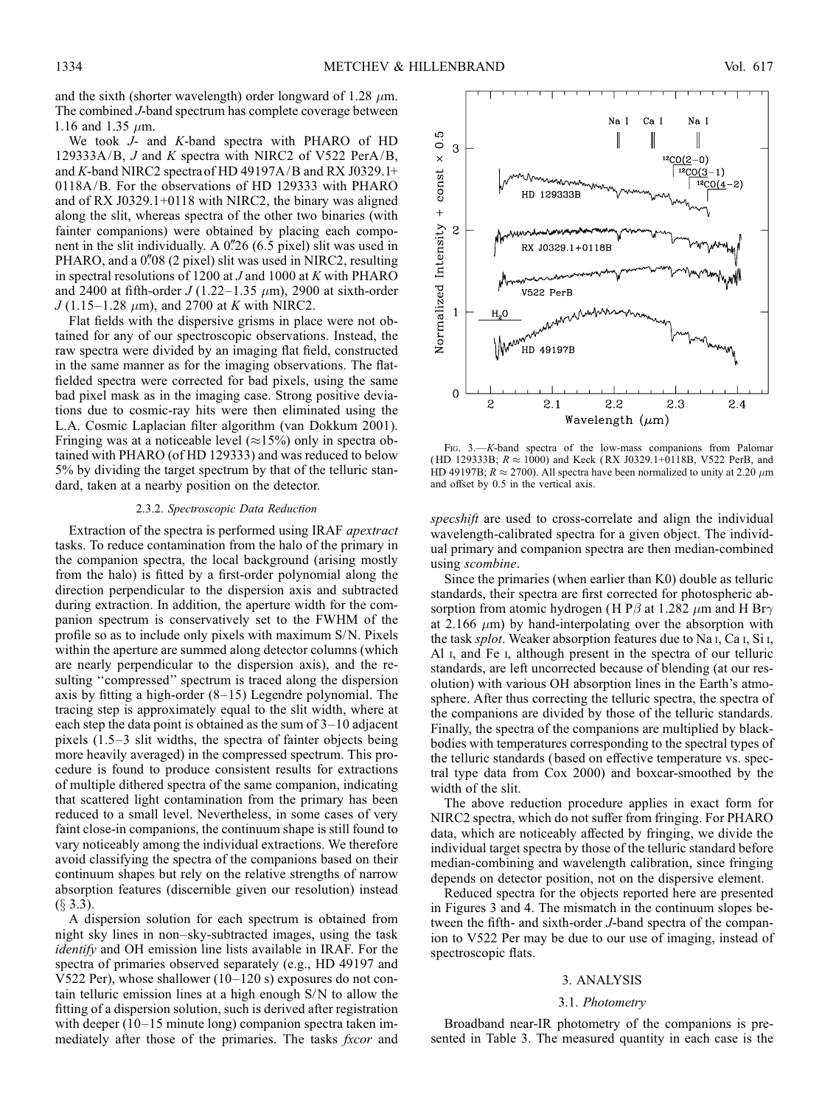and the sixth (shorter wavelength) order longward of 1.28  $\mu$ m. The combined J-band spectrum has complete coverage between 1.16 and 1.35  $\mu$ m.

We took J- and K-band spectra with PHARO of HD 129333A/B, J and K spectra with NIRC2 of V522 PerA/B, and K-band NIRC2 spectra of HD 49197A/B and RX J0329.1+ 0118A/B. For the observations of HD 129333 with PHARO and of RX J0329.1+0118 with NIRC2, the binary was aligned along the slit, whereas spectra of the other two binaries (with fainter companions) were obtained by placing each component in the slit individually. A  $0\frac{1}{26}$  (6.5 pixel) slit was used in PHARO, and a  $0\rlap.{''}08$  (2 pixel) slit was used in NIRC2, resulting in spectral resolutions of 1200 at  $J$  and 1000 at  $K$  with PHARO and 2400 at fifth-order  $J(1.22-1.35 \mu m)$ , 2900 at sixth-order  $J(1.15-1.28 \mu m)$ , and 2700 at K with NIRC2.

Flat fields with the dispersive grisms in place were not obtained for any of our spectroscopic observations. Instead, the raw spectra were divided by an imaging flat field, constructed in the same manner as for the imaging observations. The flatfielded spectra were corrected for bad pixels, using the same bad pixel mask as in the imaging case. Strong positive deviations due to cosmic-ray hits were then eliminated using the L.A. Cosmic Laplacian filter algorithm (van Dokkum 2001). Fringing was at a noticeable level ( $\approx$ 15%) only in spectra obtained with PHARO (of HD 129333) and was reduced to below 5% by dividing the target spectrum by that of the telluric standard, taken at a nearby position on the detector.

### 2.3.2. Spectroscopic Data Reduction

Extraction of the spectra is performed using IRAF apextract tasks. To reduce contamination from the halo of the primary in the companion spectra, the local background (arising mostly from the halo) is fitted by a first-order polynomial along the direction perpendicular to the dispersion axis and subtracted during extraction. In addition, the aperture width for the companion spectrum is conservatively set to the FWHM of the profile so as to include only pixels with maximum S/N. Pixels within the aperture are summed along detector columns (which are nearly perpendicular to the dispersion axis), and the resulting "compressed" spectrum is traced along the dispersion axis by fitting a high-order (8–15) Legendre polynomial. The tracing step is approximately equal to the slit width, where at each step the data point is obtained as the sum of 3–10 adjacent pixels (1.5–3 slit widths, the spectra of fainter objects being more heavily averaged) in the compressed spectrum. This procedure is found to produce consistent results for extractions of multiple dithered spectra of the same companion, indicating that scattered light contamination from the primary has been reduced to a small level. Nevertheless, in some cases of very faint close-in companions, the continuum shape is still found to vary noticeably among the individual extractions. We therefore avoid classifying the spectra of the companions based on their continuum shapes but rely on the relative strengths of narrow absorption features (discernible given our resolution) instead  $(\S$  3.3).

A dispersion solution for each spectrum is obtained from night sky lines in non–sky-subtracted images, using the task identify and OH emission line lists available in IRAF. For the spectra of primaries observed separately (e.g., HD 49197 and V522 Per), whose shallower (10–120 s) exposures do not contain telluric emission lines at a high enough S/N to allow the fitting of a dispersion solution, such is derived after registration with deeper (10–15 minute long) companion spectra taken immediately after those of the primaries. The tasks *fxcor* and



Fig. 3.—K-band spectra of the low-mass companions from Palomar (HD 129333B;  $R \approx 1000$ ) and Keck (RX J0329.1+0118B, V522 PerB, and HD 49197B;  $R \approx 2700$ ). All spectra have been normalized to unity at 2.20  $\mu$ m and offset by 0.5 in the vertical axis.

specshift are used to cross-correlate and align the individual wavelength-calibrated spectra for a given object. The individual primary and companion spectra are then median-combined using scombine.

Since the primaries (when earlier than K0) double as telluric standards, their spectra are first corrected for photospheric absorption from atomic hydrogen (H P $\beta$  at 1.282  $\mu$ m and H Br $\gamma$ at 2.166  $\mu$ m) by hand-interpolating over the absorption with the task splot. Weaker absorption features due to Na i, Ca i, Si i, Al i, and Fe i, although present in the spectra of our telluric standards, are left uncorrected because of blending (at our resolution) with various OH absorption lines in the Earth's atmosphere. After thus correcting the telluric spectra, the spectra of the companions are divided by those of the telluric standards. Finally, the spectra of the companions are multiplied by blackbodies with temperatures corresponding to the spectral types of the telluric standards ( based on effective temperature vs. spectral type data from Cox 2000) and boxcar-smoothed by the width of the slit.

The above reduction procedure applies in exact form for NIRC2 spectra, which do not suffer from fringing. For PHARO data, which are noticeably affected by fringing, we divide the individual target spectra by those of the telluric standard before median-combining and wavelength calibration, since fringing depends on detector position, not on the dispersive element.

Reduced spectra for the objects reported here are presented in Figures 3 and 4. The mismatch in the continuum slopes between the fifth- and sixth-order J-band spectra of the companion to V522 Per may be due to our use of imaging, instead of spectroscopic flats.

#### 3. ANALYSIS

## 3.1. Photometry

Broadband near-IR photometry of the companions is presented in Table 3. The measured quantity in each case is the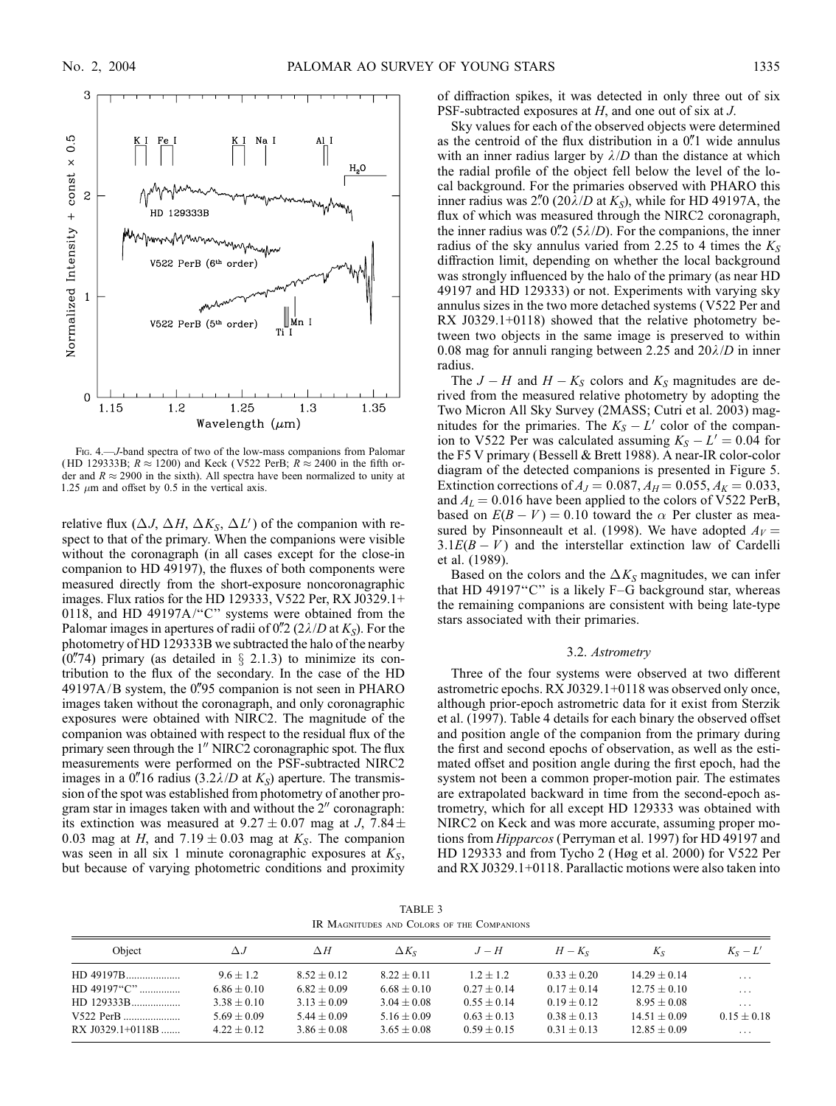

Fig. 4.—J-band spectra of two of the low-mass companions from Palomar (HD 129333B;  $R \approx 1200$ ) and Keck (V522 PerB;  $R \approx 2400$  in the fifth order and  $R \approx 2900$  in the sixth). All spectra have been normalized to unity at 1.25  $\mu$ m and offset by 0.5 in the vertical axis.

relative flux  $(\Delta J, \Delta H, \Delta K_S, \Delta L')$  of the companion with respect to that of the primary. When the companions were visible without the coronagraph (in all cases except for the close-in companion to HD 49197), the fluxes of both components were measured directly from the short-exposure noncoronagraphic images. Flux ratios for the HD 129333, V522 Per, RX J0329.1+ 0118, and HD 49197A/''C'' systems were obtained from the Palomar images in apertures of radii of 0.  $2(2\lambda/D$  at  $K_s$ ). For the photometry of HD 129333B we subtracted the halo of the nearby  $(0.74)$  primary (as detailed in  $\S$  2.1.3) to minimize its contribution to the flux of the secondary. In the case of the HD  $49197A/B$  system, the 0.795 companion is not seen in PHARO images taken without the coronagraph, and only coronagraphic exposures were obtained with NIRC2. The magnitude of the companion was obtained with respect to the residual flux of the primary seen through the  $1<sup>''</sup>$  NIRC2 coronagraphic spot. The flux measurements were performed on the PSF-subtracted NIRC2 images in a 0.'' 16 radius  $(3.2\lambda/D$  at  $K_s$ ) aperture. The transmission of the spot was established from photometry of another program star in images taken with and without the  $2<sup>n</sup>$  coronagraph: its extinction was measured at  $9.27 \pm 0.07$  mag at J,  $7.84 \pm$ 0.03 mag at H, and  $7.19 \pm 0.03$  mag at K<sub>S</sub>. The companion was seen in all six 1 minute coronagraphic exposures at  $K<sub>S</sub>$ , but because of varying photometric conditions and proximity of diffraction spikes, it was detected in only three out of six PSF-subtracted exposures at H, and one out of six at J.

Sky values for each of the observed objects were determined as the centroid of the flux distribution in a  $0$ .<sup>"</sup> $1$  wide annulus with an inner radius larger by  $\lambda/D$  than the distance at which the radial profile of the object fell below the level of the local background. For the primaries observed with PHARO this inner radius was 2. 0 (20 $\lambda/D$  at  $K_s$ ), while for HD 49197A, the flux of which was measured through the NIRC2 coronagraph, the inner radius was  $0\rlap{.}^{\prime\prime}$  (5 $\lambda$ /D). For the companions, the inner radius of the sky annulus varied from 2.25 to 4 times the  $K_s$ diffraction limit, depending on whether the local background was strongly influenced by the halo of the primary (as near HD 49197 and HD 129333) or not. Experiments with varying sky annulus sizes in the two more detached systems (V522 Per and RX J0329.1+0118) showed that the relative photometry between two objects in the same image is preserved to within 0.08 mag for annuli ranging between 2.25 and  $20\lambda/D$  in inner radius.

The  $J - H$  and  $H - K_S$  colors and  $K_S$  magnitudes are derived from the measured relative photometry by adopting the Two Micron All Sky Survey (2MASS; Cutri et al. 2003) magnitudes for the primaries. The  $K_S - L'$  color of the companion to V522 Per was calculated assuming  $K_S - L' = 0.04$  for the F5 V primary (Bessell & Brett 1988). A near-IR color-color diagram of the detected companions is presented in Figure 5. Extinction corrections of  $A_J = 0.087, A_H = 0.055, A_K = 0.033,$ and  $A<sub>L</sub> = 0.016$  have been applied to the colors of V522 PerB, based on  $E(B - V) = 0.10$  toward the  $\alpha$  Per cluster as measured by Pinsonneault et al. (1998). We have adopted  $A_V =$  $3.1E(B - V)$  and the interstellar extinction law of Cardelli et al. (1989).

Based on the colors and the  $\Delta K_S$  magnitudes, we can infer that HD 49197"C" is a likely F-G background star, whereas the remaining companions are consistent with being late-type stars associated with their primaries.

### 3.2. Astrometry

Three of the four systems were observed at two different astrometric epochs. RX J0329.1+0118 was observed only once, although prior-epoch astrometric data for it exist from Sterzik et al. (1997). Table 4 details for each binary the observed offset and position angle of the companion from the primary during the first and second epochs of observation, as well as the estimated offset and position angle during the first epoch, had the system not been a common proper-motion pair. The estimates are extrapolated backward in time from the second-epoch astrometry, which for all except HD 129333 was obtained with NIRC2 on Keck and was more accurate, assuming proper motions from Hipparcos (Perryman et al. 1997) for HD 49197 and HD 129333 and from Tycho 2 (Høg et al. 2000) for V522 Per and RX J0329.1+0118. Parallactic motions were also taken into

TABLE 3 IR Magnitudes and Colors of the Companions

| Object             | $\Delta$ .J                    | $\Delta H$                     | $\Delta K_{S}$                 | $J-H$                          | $H-Ks$                         | Кs                               | $K_S - L'$              |
|--------------------|--------------------------------|--------------------------------|--------------------------------|--------------------------------|--------------------------------|----------------------------------|-------------------------|
|                    | $9.6 + 1.2$                    | $8.52 + 0.12$                  | $8.22 + 0.11$                  | $1.2 + 1.2$                    | $0.33 + 0.20$                  | $14.29 + 0.14$                   | $\cdot$ $\cdot$ $\cdot$ |
| $HD$ 49197" $C$ "  | $6.86 \pm 0.10$                | $6.82 + 0.09$                  | $6.68 + 0.10$                  | $0.27 + 0.14$                  | $0.17 + 0.14$                  | $12.75 + 0.10$                   | $\cdots$                |
| HD 129333B         | $3.38 \pm 0.10$                | $3.13 + 0.09$                  | $3.04 + 0.08$                  | $0.55 + 0.14$                  | $0.19 + 0.12$                  | $8.95 + 0.08$                    | $\cdot$ $\cdot$ $\cdot$ |
| $RX$ J0329.1+0118B | $5.69 + 0.09$<br>$4.22 + 0.12$ | $5.44 + 0.09$<br>$3.86 + 0.08$ | $5.16 + 0.09$<br>$3.65 + 0.08$ | $0.63 + 0.13$<br>$0.59 + 0.15$ | $0.38 + 0.13$<br>$0.31 + 0.13$ | $14.51 + 0.09$<br>$12.85 + 0.09$ | $0.15 + 0.18$<br>.      |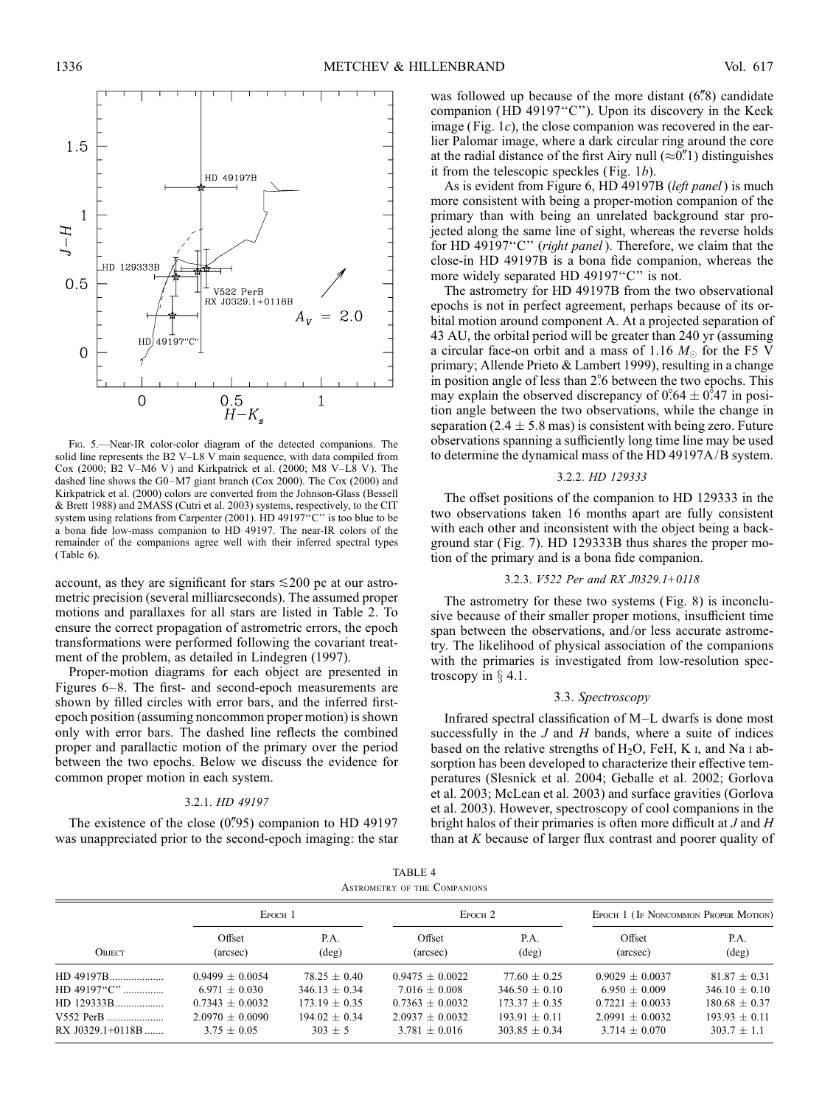

Fig. 5.—Near-IR color-color diagram of the detected companions. The solid line represents the B2 V–L8 V main sequence, with data compiled from Cox (2000; B2 V–M6 V) and Kirkpatrick et al. (2000; M8 V–L8 V). The dashed line shows the G0–M7 giant branch (Cox 2000). The Cox (2000) and Kirkpatrick et al. (2000) colors are converted from the Johnson-Glass (Bessell & Brett 1988) and 2MASS (Cutri et al. 2003) systems, respectively, to the CIT system using relations from Carpenter (2001). HD 49197"C" is too blue to be a bona fide low-mass companion to HD 49197. The near-IR colors of the remainder of the companions agree well with their inferred spectral types ( Table 6).

account, as they are significant for stars  $\leq 200$  pc at our astrometric precision (several milliarcseconds). The assumed proper motions and parallaxes for all stars are listed in Table 2. To ensure the correct propagation of astrometric errors, the epoch transformations were performed following the covariant treatment of the problem, as detailed in Lindegren (1997).

Proper-motion diagrams for each object are presented in Figures 6–8. The first- and second-epoch measurements are shown by filled circles with error bars, and the inferred firstepoch position (assuming noncommon proper motion) is shown only with error bars. The dashed line reflects the combined proper and parallactic motion of the primary over the period between the two epochs. Below we discuss the evidence for common proper motion in each system.

### 3.2.1. HD 49197

The existence of the close  $(0\rlap.{''}95)$  companion to HD 49197 was unappreciated prior to the second-epoch imaging: the star was followed up because of the more distant  $(6\%)$  candidate companion (HD 49197''C''). Upon its discovery in the Keck image (Fig.  $1c$ ), the close companion was recovered in the earlier Palomar image, where a dark circular ring around the core at the radial distance of the first Airy null  $(\approx 0.1)$  distinguishes it from the telescopic speckles (Fig. 1b).

As is evident from Figure 6, HD 49197B (*left panel*) is much more consistent with being a proper-motion companion of the primary than with being an unrelated background star projected along the same line of sight, whereas the reverse holds for HD 49197"C" (right panel). Therefore, we claim that the close-in HD 49197B is a bona fide companion, whereas the more widely separated HD 49197"C" is not.

The astrometry for HD 49197B from the two observational epochs is not in perfect agreement, perhaps because of its orbital motion around component A. At a projected separation of 43 AU, the orbital period will be greater than 240 yr (assuming a circular face-on orbit and a mass of 1.16  $M_{\odot}$  for the F5 V primary; Allende Prieto & Lambert 1999), resulting in a change in position angle of less than 2% between the two epochs. This may explain the observed discrepancy of  $0^\circ 64 \pm 0^\circ 47$  in position angle between the two observations, while the change in separation (2.4  $\pm$  5.8 mas) is consistent with being zero. Future observations spanning a sufficiently long time line may be used to determine the dynamical mass of the HD 49197A/B system.

### 3.2.2. HD 129333

The offset positions of the companion to HD 129333 in the two observations taken 16 months apart are fully consistent with each other and inconsistent with the object being a background star ( Fig. 7). HD 129333B thus shares the proper motion of the primary and is a bona fide companion.

## 3.2.3. V522 Per and RX J0329.1+0118

The astrometry for these two systems (Fig. 8) is inconclusive because of their smaller proper motions, insufficient time span between the observations, and/or less accurate astrometry. The likelihood of physical association of the companions with the primaries is investigated from low-resolution spectroscopy in  $\S$  4.1.

## 3.3. Spectroscopy

Infrared spectral classification of M–L dwarfs is done most successfully in the  $J$  and  $H$  bands, where a suite of indices based on the relative strengths of  $H_2O$ , FeH, K I, and Na I absorption has been developed to characterize their effective temperatures (Slesnick et al. 2004; Geballe et al. 2002; Gorlova et al. 2003; McLean et al. 2003) and surface gravities (Gorlova et al. 2003). However, spectroscopy of cool companions in the bright halos of their primaries is often more difficult at J and H than at K because of larger flux contrast and poorer quality of

| TABLE 4                             |  |  |  |  |  |  |
|-------------------------------------|--|--|--|--|--|--|
| <b>ASTROMETRY OF THE COMPANIONS</b> |  |  |  |  |  |  |

|                  | EPOCH <sub>1</sub> |                        | $E$ росн $2$       |                        | EPOCH 1 (IF NONCOMMON PROPER MOTION) |                        |
|------------------|--------------------|------------------------|--------------------|------------------------|--------------------------------------|------------------------|
| <b>OBJECT</b>    | Offset<br>(arcsec) | P.A.<br>$(\text{deg})$ | Offset<br>(arcsec) | P.A.<br>$(\text{deg})$ | Offset<br>(arcsec)                   | P.A.<br>$(\text{deg})$ |
| HD 49197B        | $0.9499 + 0.0054$  | $78.25 + 0.40$         | $0.9475 + 0.0022$  | $77.60 + 0.25$         | $0.9029 + 0.0037$                    | $81.87 + 0.31$         |
| HD 49197"C"      | $6.971 + 0.030$    | $346.13 \pm 0.34$      | $7.016 + 0.008$    | $346.50 + 0.10$        | $6.950 + 0.009$                      | $346.10 \pm 0.10$      |
| HD 129333B       | $0.7343 + 0.0032$  | $173.19 + 0.35$        | $0.7363 + 0.0032$  | $173.37 + 0.35$        | $0.7221 + 0.0033$                    | $180.68 + 0.37$        |
| V552 PerB        | $2.0970 + 0.0090$  | $194.02 + 0.34$        | $2.0937 + 0.0032$  | $193.91 + 0.11$        | $2.0991 + 0.0032$                    | $193.93 \pm 0.11$      |
| RX J0329.1+0118B | $3.75 + 0.05$      | $303 + 5$              | $3.781 + 0.016$    | $303.85 + 0.34$        | $3.714 + 0.070$                      | $303.7 \pm 1.1$        |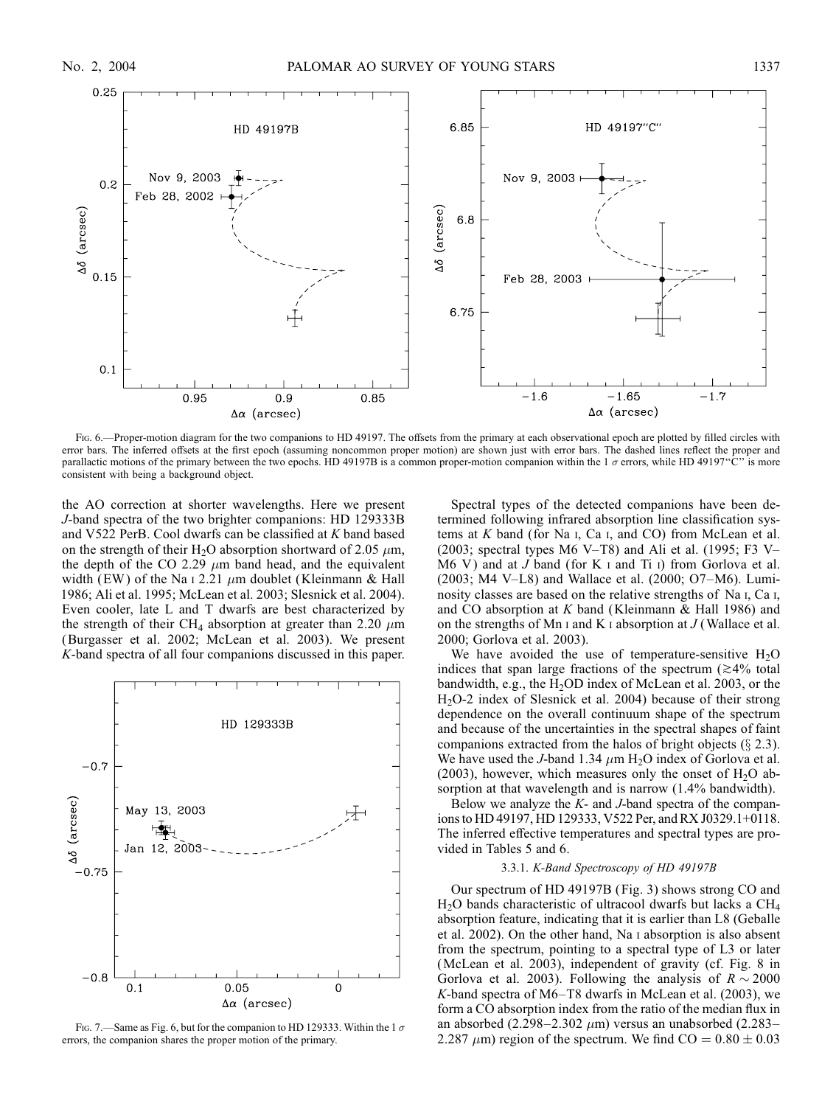

Fig. 6.—Proper-motion diagram for the two companions to HD 49197. The offsets from the primary at each observational epoch are plotted by filled circles with error bars. The inferred offsets at the first epoch (assuming noncommon proper motion) are shown just with error bars. The dashed lines reflect the proper and parallactic motions of the primary between the two epochs. HD 49197B is a common proper-motion companion within the 1  $\sigma$  errors, while HD 49197"C" is more consistent with being a background object.

the AO correction at shorter wavelengths. Here we present J-band spectra of the two brighter companions: HD 129333B and V522 PerB. Cool dwarfs can be classified at K band based on the strength of their H<sub>2</sub>O absorption shortward of 2.05  $\mu$ m, the depth of the CO 2.29  $\mu$ m band head, and the equivalent width (EW) of the Na i 2.21  $\mu$ m doublet (Kleinmann & Hall 1986; Ali et al. 1995; McLean et al. 2003; Slesnick et al. 2004). Even cooler, late L and T dwarfs are best characterized by the strength of their CH<sub>4</sub> absorption at greater than 2.20  $\mu$ m (Burgasser et al. 2002; McLean et al. 2003). We present K-band spectra of all four companions discussed in this paper.



FIG. 7.—Same as Fig. 6, but for the companion to HD 129333. Within the 1  $\sigma$ errors, the companion shares the proper motion of the primary.

Spectral types of the detected companions have been determined following infrared absorption line classification systems at  $K$  band (for Na  $I$ , Ca  $I$ , and CO) from McLean et al. (2003; spectral types M6 V-T8) and Ali et al. (1995; F3 V-M6 V) and at  $J$  band (for K  $I$  and Ti  $I$ ) from Gorlova et al. (2003; M4 V–L8) and Wallace et al. (2000; O7–M6). Luminosity classes are based on the relative strengths of Na i, Ca i, and CO absorption at  $K$  band (Kleinmann  $\&$  Hall 1986) and on the strengths of Mn  $\scriptstyle\rm I$  and K  $\scriptstyle\rm I$  absorption at  $J$  (Wallace et al. 2000; Gorlova et al. 2003).

We have avoided the use of temperature-sensitive  $H_2O$ indices that span large fractions of the spectrum  $(\geq 4\%$  total bandwidth, e.g., the  $H_2$ OD index of McLean et al. 2003, or the H2O-2 index of Slesnick et al. 2004) because of their strong dependence on the overall continuum shape of the spectrum and because of the uncertainties in the spectral shapes of faint companions extracted from the halos of bright objects  $(\S 2.3)$ . We have used the *J*-band 1.34  $\mu$ m H<sub>2</sub>O index of Gorlova et al. (2003), however, which measures only the onset of  $H_2O$  absorption at that wavelength and is narrow (1.4% bandwidth).

Below we analyze the  $K$ - and  $J$ -band spectra of the companions to HD 49197, HD 129333, V522 Per, and RX J0329.1+0118. The inferred effective temperatures and spectral types are provided in Tables 5 and 6.

### 3.3.1. K-Band Spectroscopy of HD 49197B

Our spectrum of HD 49197B ( Fig. 3) shows strong CO and H2O bands characteristic of ultracool dwarfs but lacks a CH4 absorption feature, indicating that it is earlier than L8 (Geballe et al. 2002). On the other hand, Na i absorption is also absent from the spectrum, pointing to a spectral type of L3 or later (McLean et al. 2003), independent of gravity (cf. Fig. 8 in Gorlova et al. 2003). Following the analysis of  $R \sim 2000$ K-band spectra of M6–T8 dwarfs in McLean et al. (2003), we form a CO absorption index from the ratio of the median flux in an absorbed  $(2.298-2.302 \ \mu m)$  versus an unabsorbed  $(2.283-$ 2.287  $\mu$ m) region of the spectrum. We find CO = 0.80  $\pm$  0.03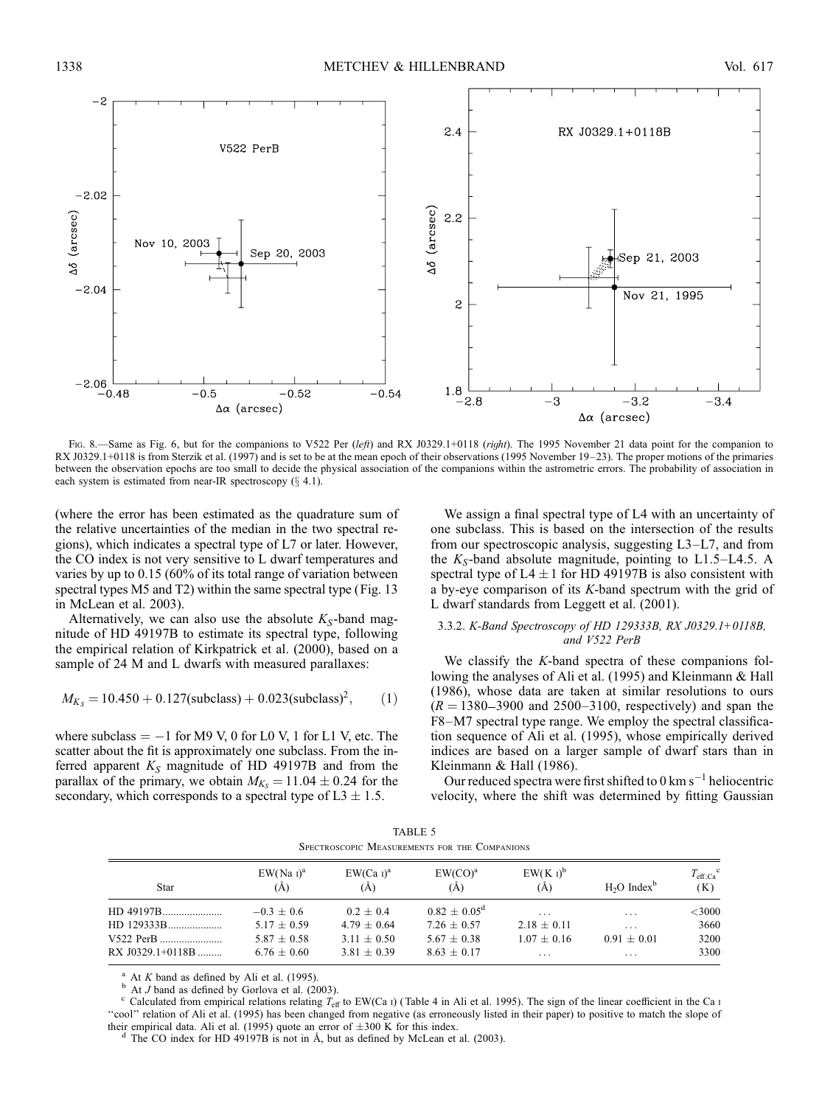

Fig. 8.—Same as Fig. 6, but for the companions to V522 Per (left) and RX J0329.1+0118 (right). The 1995 November 21 data point for the companion to RX J0329.1+0118 is from Sterzik et al. (1997) and is set to be at the mean epoch of their observations (1995 November 19–23). The proper motions of the primaries between the observation epochs are too small to decide the physical association of the companions within the astrometric errors. The probability of association in each system is estimated from near-IR spectroscopy  $(\S$  4.1).

(where the error has been estimated as the quadrature sum of the relative uncertainties of the median in the two spectral regions), which indicates a spectral type of L7 or later. However, the CO index is not very sensitive to L dwarf temperatures and varies by up to 0.15 (60% of its total range of variation between spectral types M5 and T2) within the same spectral type (Fig. 13 in McLean et al. 2003).

Alternatively, we can also use the absolute  $K_S$ -band magnitude of HD 49197B to estimate its spectral type, following the empirical relation of Kirkpatrick et al. (2000), based on a sample of 24 M and L dwarfs with measured parallaxes:

$$
M_{K_S} = 10.450 + 0.127 \text{(subclass)} + 0.023 \text{(subclass)}^2, \quad (1)
$$

where subclass  $= -1$  for M9 V, 0 for L0 V, 1 for L1 V, etc. The scatter about the fit is approximately one subclass. From the inferred apparent  $K_S$  magnitude of HD 49197B and from the parallax of the primary, we obtain  $M_{K_s} = 11.04 \pm 0.24$  for the secondary, which corresponds to a spectral type of  $L3 \pm 1.5$ .

We assign a final spectral type of L4 with an uncertainty of one subclass. This is based on the intersection of the results from our spectroscopic analysis, suggesting L3–L7, and from the  $K_S$ -band absolute magnitude, pointing to L1.5–L4.5. A spectral type of  $L4 \pm 1$  for HD 49197B is also consistent with a by-eye comparison of its K-band spectrum with the grid of L dwarf standards from Leggett et al. (2001).

### 3.3.2. K-Band Spectroscopy of HD 129333B, RX J0329.1+0118B, and V522 PerB

We classify the K-band spectra of these companions following the analyses of Ali et al. (1995) and Kleinmann & Hall (1986), whose data are taken at similar resolutions to ours  $(R = 1380 - 3900$  and 2500-3100, respectively) and span the F8–M7 spectral type range. We employ the spectral classification sequence of Ali et al. (1995), whose empirically derived indices are based on a larger sample of dwarf stars than in Kleinmann & Hall (1986).

Our reduced spectra were first shifted to  $0 \text{ km s}^{-1}$  heliocentric velocity, where the shift was determined by fitting Gaussian

| TABLE 5 |                                               |  |  |  |  |
|---------|-----------------------------------------------|--|--|--|--|
|         | SPECTROSCOPIC MEASUREMENTS FOR THE COMPANIONS |  |  |  |  |

| Star             | $EW(Na_1)^a$<br>(A) | $EW(Ca I)^a$<br>(A) | $EW(CO)^a$<br>(A) | $EW(K_I)^b$<br>(A) | H <sub>2</sub> O Index <sup>b</sup> | $T_{\text{eff.Ca}}^{\text{c}}$<br>(K) |
|------------------|---------------------|---------------------|-------------------|--------------------|-------------------------------------|---------------------------------------|
| HD 49197B        | $-0.3 + 0.6$        | $0.2 + 0.4$         | $0.82 + 0.05^d$   | $\cdots$           | .                                   | $<$ 3000                              |
|                  | $5.17 + 0.59$       | $4.79 + 0.64$       | $7.26 + 0.57$     | $2.18 + 0.11$      | $\cdots$                            | 3660                                  |
| V522 PerB        | $5.87 + 0.58$       | $3.11 + 0.50$       | $5.67 + 0.38$     | $1.07 + 0.16$      | $0.91 + 0.01$                       | 3200                                  |
| RX J0329.1+0118B | $6.76 + 0.60$       | $3.81 + 0.39$       | $8.63 + 0.17$     | $\cdots$           | .                                   | 3300                                  |

<sup>a</sup> At *K* band as defined by Ali et al. (1995).<br><sup>b</sup> At *J* band as defined by Gorlova et al. (2003).<br><sup>c</sup> Calculated from empirical relations relating  $T_{\text{eff}}$  to EW(Ca i) (Table 4 in Ali et al. 1995). The sign of the li "cool" relation of Ali et al. (1995) has been changed from negative (as erroneously listed in their paper) to positive to match the slope of their empirical data. Ali et al. (1995) quote an error of  $\pm 300$  K for this index.<br><sup>d</sup> The CO index for HD 49197B is not in Å, but as defined by McLean et al. (2003).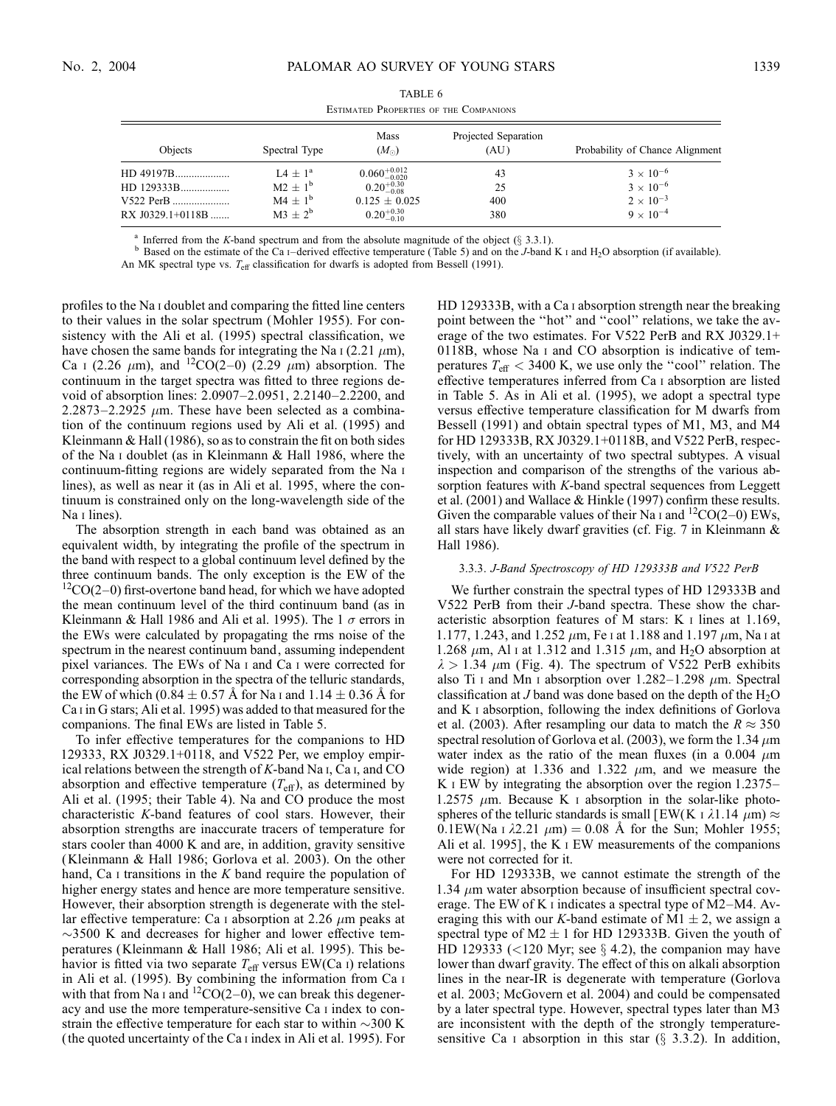$\equiv$ 

| Objects          | Spectral Type | Mass<br>$(M_{\odot})$     | Projected Separation<br>(AU) | Probability of Chance Alignment |  |
|------------------|---------------|---------------------------|------------------------------|---------------------------------|--|
| HD 49197B        | $14 + 1^a$    | $0.060^{+0.012}_{-0.020}$ | 43                           | $3 \times 10^{-6}$              |  |
| HD 129333B       | $M2 + 1^b$    | $0.20_{-0.08}^{+0.30}$    | 25                           | $3 \times 10^{-6}$              |  |
| V522 PerB        | $M4 + 1^{b}$  | $0.125 \pm 0.025$         | 400                          | $2 \times 10^{-3}$              |  |
| RX J0329.1+0118B | $M3 + 2^b$    | $0.20^{+0.30}_{-0.10}$    | 380                          | $9 \times 10^{-4}$              |  |

| TABLE 6 |  |                                        |  |  |  |
|---------|--|----------------------------------------|--|--|--|
|         |  | ESTIMATED PROPERTIES OF THE COMPANIONS |  |  |  |

Inferred from the K-band spectrum and from the absolute magnitude of the object (§ 3.3.1).<br>Based on the estimate of the Ca i–derived effective temperature (Table 5) and on the J-band K i and H<sub>2</sub>O absorption (if available An MK spectral type vs.  $T_{\text{eff}}$  classification for dwarfs is adopted from Bessell (1991).

profiles to the Na i doublet and comparing the fitted line centers to their values in the solar spectrum (Mohler 1955). For consistency with the Ali et al. (1995) spectral classification, we have chosen the same bands for integrating the Na  $\scriptstyle\rm I$  (2.21  $\mu$ m), Ca 1 (2.26  $\mu$ m), and <sup>12</sup>CO(2–0) (2.29  $\mu$ m) absorption. The continuum in the target spectra was fitted to three regions devoid of absorption lines: 2.0907–2.0951, 2.2140–2.2200, and  $2.2873 - 2.2925 \mu m$ . These have been selected as a combination of the continuum regions used by Ali et al. (1995) and Kleinmann & Hall (1986), so as to constrain the fit on both sides of the Na i doublet (as in Kleinmann & Hall 1986, where the continuum-fitting regions are widely separated from the Na i lines), as well as near it (as in Ali et al. 1995, where the continuum is constrained only on the long-wavelength side of the Na *I* lines).

The absorption strength in each band was obtained as an equivalent width, by integrating the profile of the spectrum in the band with respect to a global continuum level defined by the three continuum bands. The only exception is the EW of the  $12CO(2-0)$  first-overtone band head, for which we have adopted the mean continuum level of the third continuum band (as in Kleinmann & Hall 1986 and Ali et al. 1995). The 1  $\sigma$  errors in the EWs were calculated by propagating the rms noise of the spectrum in the nearest continuum band, assuming independent pixel variances. The EWs of Na i and Ca i were corrected for corresponding absorption in the spectra of the telluric standards, the EW of which (0.84  $\pm$  0.57 Å for Na I and 1.14  $\pm$  0.36 Å for Ca i in G stars; Ali et al. 1995) was added to that measured for the companions. The final EWs are listed in Table 5.

To infer effective temperatures for the companions to HD 129333, RX J0329.1+0118, and V522 Per, we employ empirical relations between the strength of  $K$ -band Na I, Ca I, and CO absorption and effective temperature  $(T_{\text{eff}})$ , as determined by Ali et al. (1995; their Table 4). Na and CO produce the most characteristic K-band features of cool stars. However, their absorption strengths are inaccurate tracers of temperature for stars cooler than 4000 K and are, in addition, gravity sensitive (Kleinmann & Hall 1986; Gorlova et al. 2003). On the other hand, Ca  $\scriptstyle\rm I$  transitions in the K band require the population of higher energy states and hence are more temperature sensitive. However, their absorption strength is degenerate with the stellar effective temperature: Ca I absorption at 2.26  $\mu$ m peaks at  $\sim$ 3500 K and decreases for higher and lower effective temperatures (Kleinmann & Hall 1986; Ali et al. 1995). This behavior is fitted via two separate  $T_{\text{eff}}$  versus EW(Ca I) relations in Ali et al. (1995). By combining the information from Ca i with that from Na i and  ${}^{12}CO(2-0)$ , we can break this degeneracy and use the more temperature-sensitive Ca i index to constrain the effective temperature for each star to within  $\sim$ 300 K (the quoted uncertainty of the Ca i index in Ali et al. 1995). For HD 129333B, with a Ca i absorption strength near the breaking point between the ''hot'' and ''cool'' relations, we take the average of the two estimates. For V522 PerB and RX J0329.1+ 0118B, whose Na i and CO absorption is indicative of temperatures  $T_{\text{eff}} < 3400$  K, we use only the "cool" relation. The effective temperatures inferred from Ca i absorption are listed in Table 5. As in Ali et al. (1995), we adopt a spectral type versus effective temperature classification for M dwarfs from Bessell (1991) and obtain spectral types of M1, M3, and M4 for HD 129333B, RX J0329.1+0118B, and V522 PerB, respectively, with an uncertainty of two spectral subtypes. A visual inspection and comparison of the strengths of the various absorption features with K-band spectral sequences from Leggett et al. (2001) and Wallace & Hinkle (1997) confirm these results. Given the comparable values of their Na I and  ${}^{12}CO(2-0)$  EWs, all stars have likely dwarf gravities (cf. Fig. 7 in Kleinmann & Hall 1986).

### 3.3.3. J-Band Spectroscopy of HD 129333B and V522 PerB

We further constrain the spectral types of HD 129333B and V522 PerB from their J-band spectra. These show the characteristic absorption features of M stars: K i lines at 1.169, 1.177, 1.243, and 1.252  $\mu$ m, Fe I at 1.188 and 1.197  $\mu$ m, Na I at 1.268  $\mu$ m, Al I at 1.312 and 1.315  $\mu$ m, and H<sub>2</sub>O absorption at  $\lambda > 1.34$   $\mu$ m (Fig. 4). The spectrum of V522 PerB exhibits also Ti I and Mn I absorption over 1.282-1.298  $\mu$ m. Spectral classification at J band was done based on the depth of the  $H_2O$ and K i absorption, following the index definitions of Gorlova et al. (2003). After resampling our data to match the  $R \approx 350$ spectral resolution of Gorlova et al. (2003), we form the 1.34  $\mu$ m water index as the ratio of the mean fluxes (in a 0.004  $\mu$ m wide region) at 1.336 and 1.322  $\mu$ m, and we measure the K I EW by integrating the absorption over the region 1.2375– 1.2575  $\mu$ m. Because K i absorption in the solar-like photospheres of the telluric standards is small [EW(K  $\pm$  21.14  $\mu$ m)  $\approx$  $0.1$ EW(Na i  $\lambda$ 2.21  $\mu$ m) = 0.08 Å for the Sun; Mohler 1955; Ali et al. 1995], the K i EW measurements of the companions were not corrected for it.

For HD 129333B, we cannot estimate the strength of the 1.34  $\mu$ m water absorption because of insufficient spectral coverage. The EW of K i indicates a spectral type of M2–M4. Averaging this with our K-band estimate of M1  $\pm$  2, we assign a spectral type of  $M2 \pm 1$  for HD 129333B. Given the youth of HD 129333 (<120 Myr; see  $\S$  4.2), the companion may have lower than dwarf gravity. The effect of this on alkali absorption lines in the near-IR is degenerate with temperature (Gorlova et al. 2003; McGovern et al. 2004) and could be compensated by a later spectral type. However, spectral types later than M3 are inconsistent with the depth of the strongly temperaturesensitive Ca I absorption in this star  $(\S$  3.3.2). In addition,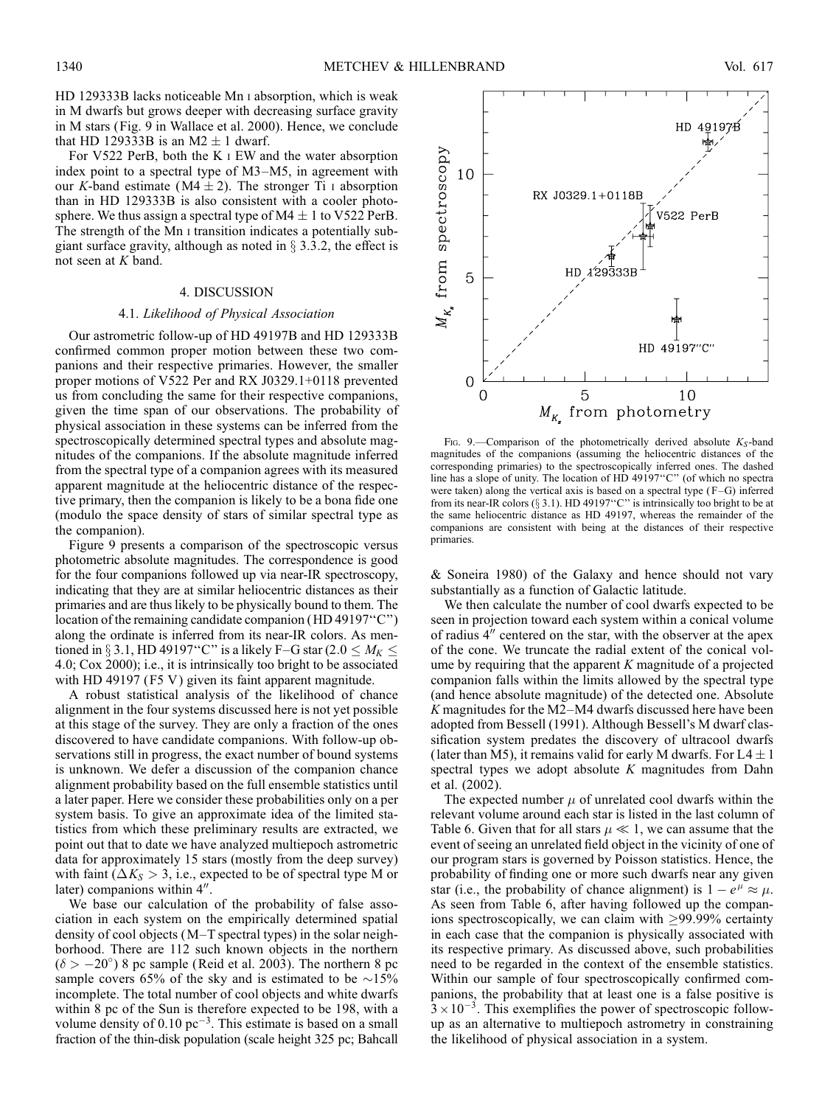HD 129333B lacks noticeable Mn i absorption, which is weak in M dwarfs but grows deeper with decreasing surface gravity in M stars (Fig. 9 in Wallace et al. 2000). Hence, we conclude that HD 129333B is an M2  $\pm$  1 dwarf.

For V522 PerB, both the K i EW and the water absorption index point to a spectral type of M3–M5, in agreement with our K-band estimate ( $M4 \pm 2$ ). The stronger Ti I absorption than in HD 129333B is also consistent with a cooler photosphere. We thus assign a spectral type of  $M4 \pm 1$  to V522 PerB. The strength of the Mn i transition indicates a potentially subgiant surface gravity, although as noted in  $\S$  3.3.2, the effect is not seen at K band.

# 4. DISCUSSION

### 4.1. Likelihood of Physical Association

Our astrometric follow-up of HD 49197B and HD 129333B confirmed common proper motion between these two companions and their respective primaries. However, the smaller proper motions of V522 Per and RX J0329.1+0118 prevented us from concluding the same for their respective companions, given the time span of our observations. The probability of physical association in these systems can be inferred from the spectroscopically determined spectral types and absolute magnitudes of the companions. If the absolute magnitude inferred from the spectral type of a companion agrees with its measured apparent magnitude at the heliocentric distance of the respective primary, then the companion is likely to be a bona fide one (modulo the space density of stars of similar spectral type as the companion).

Figure 9 presents a comparison of the spectroscopic versus photometric absolute magnitudes. The correspondence is good for the four companions followed up via near-IR spectroscopy, indicating that they are at similar heliocentric distances as their primaries and are thus likely to be physically bound to them. The location of the remaining candidate companion (HD 49197''C'') along the ordinate is inferred from its near-IR colors. As mentioned in § 3.1, HD 49197"C" is a likely F–G star (2.0  $\leq M_K \leq$ 4:0; Cox 2000); i.e., it is intrinsically too bright to be associated with HD 49197 (F5 V) given its faint apparent magnitude.

A robust statistical analysis of the likelihood of chance alignment in the four systems discussed here is not yet possible at this stage of the survey. They are only a fraction of the ones discovered to have candidate companions. With follow-up observations still in progress, the exact number of bound systems is unknown. We defer a discussion of the companion chance alignment probability based on the full ensemble statistics until a later paper. Here we consider these probabilities only on a per system basis. To give an approximate idea of the limited statistics from which these preliminary results are extracted, we point out that to date we have analyzed multiepoch astrometric data for approximately 15 stars (mostly from the deep survey) with faint ( $\Delta K_S > 3$ , i.e., expected to be of spectral type M or later) companions within 4".

We base our calculation of the probability of false association in each system on the empirically determined spatial density of cool objects (M–T spectral types) in the solar neighborhood. There are 112 such known objects in the northern  $(\delta > -20^{\circ})$  8 pc sample (Reid et al. 2003). The northern 8 pc sample covers 65% of the sky and is estimated to be  $\sim$ 15% incomplete. The total number of cool objects and white dwarfs within 8 pc of the Sun is therefore expected to be 198, with a volume density of  $0.10 \text{ pc}^{-3}$ . This estimate is based on a small fraction of the thin-disk population (scale height 325 pc; Bahcall



FIG. 9.—Comparison of the photometrically derived absolute  $K_S$ -band magnitudes of the companions (assuming the heliocentric distances of the corresponding primaries) to the spectroscopically inferred ones. The dashed line has a slope of unity. The location of HD 49197''C'' (of which no spectra were taken) along the vertical axis is based on a spectral type (F-G) inferred from its near-IR colors ( $\S 3.1$ ). HD 49197"C" is intrinsically too bright to be at the same heliocentric distance as HD 49197, whereas the remainder of the companions are consistent with being at the distances of their respective primaries.

& Soneira 1980) of the Galaxy and hence should not vary substantially as a function of Galactic latitude.

We then calculate the number of cool dwarfs expected to be seen in projection toward each system within a conical volume of radius  $4$ <sup> $\prime\prime$ </sup> centered on the star, with the observer at the apex of the cone. We truncate the radial extent of the conical volume by requiring that the apparent  $K$  magnitude of a projected companion falls within the limits allowed by the spectral type (and hence absolute magnitude) of the detected one. Absolute K magnitudes for the M2–M4 dwarfs discussed here have been adopted from Bessell (1991). Although Bessell's M dwarf classification system predates the discovery of ultracool dwarfs (later than M5), it remains valid for early M dwarfs. For  $L4 \pm 1$ spectral types we adopt absolute  $K$  magnitudes from Dahn et al. (2002).

The expected number  $\mu$  of unrelated cool dwarfs within the relevant volume around each star is listed in the last column of Table 6. Given that for all stars  $\mu \ll 1$ , we can assume that the event of seeing an unrelated field object in the vicinity of one of our program stars is governed by Poisson statistics. Hence, the probability of finding one or more such dwarfs near any given star (i.e., the probability of chance alignment) is  $1 - e^{\mu} \approx \mu$ . As seen from Table 6, after having followed up the companions spectroscopically, we can claim with  $\geq$ 99.99% certainty in each case that the companion is physically associated with its respective primary. As discussed above, such probabilities need to be regarded in the context of the ensemble statistics. Within our sample of four spectroscopically confirmed companions, the probability that at least one is a false positive is  $3 \times 10^{-3}$ . This exemplifies the power of spectroscopic followup as an alternative to multiepoch astrometry in constraining the likelihood of physical association in a system.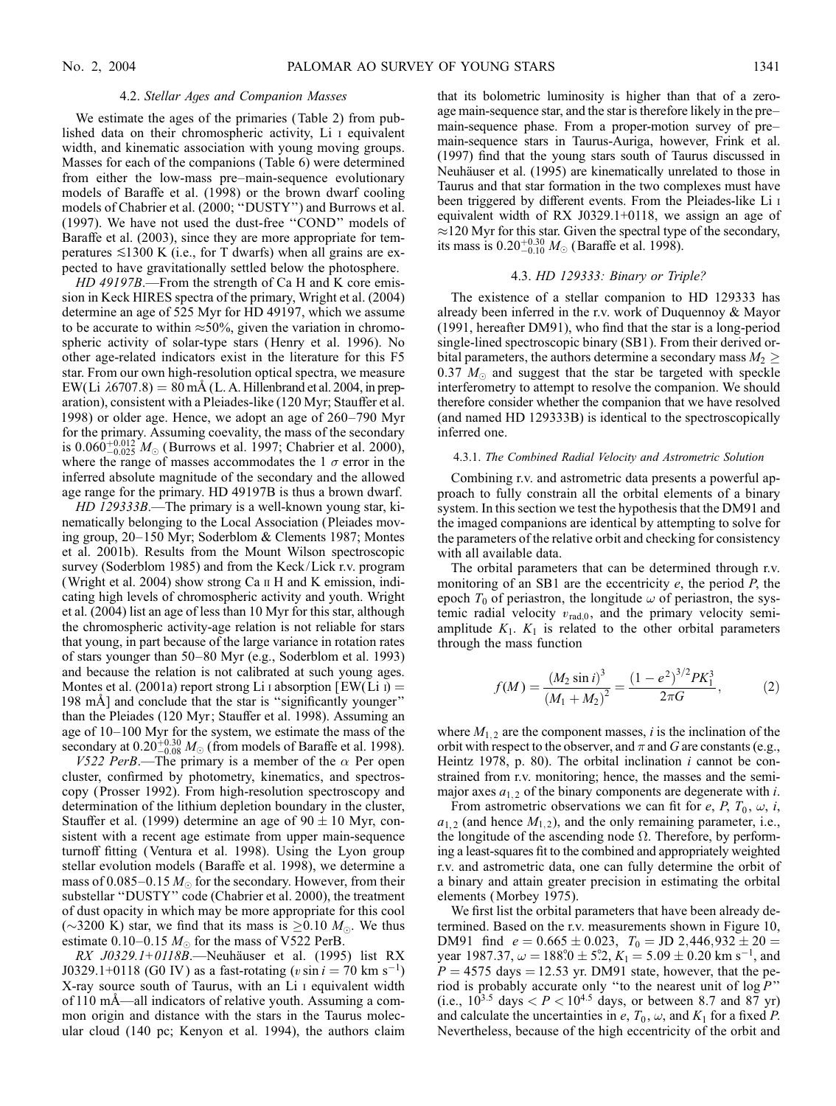### 4.2. Stellar Ages and Companion Masses

We estimate the ages of the primaries (Table 2) from published data on their chromospheric activity, Li i equivalent width, and kinematic association with young moving groups. Masses for each of the companions (Table 6) were determined from either the low-mass pre–main-sequence evolutionary models of Baraffe et al. (1998) or the brown dwarf cooling models of Chabrier et al. (2000; ''DUSTY'') and Burrows et al. (1997). We have not used the dust-free ''COND'' models of Baraffe et al. (2003), since they are more appropriate for temperatures  $\leq 1300$  K (i.e., for T dwarfs) when all grains are expected to have gravitationally settled below the photosphere.

HD 49197B.—From the strength of Ca H and K core emission in Keck HIRES spectra of the primary, Wright et al. (2004) determine an age of 525 Myr for HD 49197, which we assume to be accurate to within  $\approx 50\%$ , given the variation in chromospheric activity of solar-type stars (Henry et al. 1996). No other age-related indicators exist in the literature for this F5 star. From our own high-resolution optical spectra, we measure EW(Li  $\lambda$ 6707.8) = 80 mÅ (L. A. Hillenbrand et al. 2004, in preparation), consistent with a Pleiades-like (120 Myr; Stauffer et al. 1998) or older age. Hence, we adopt an age of 260–790 Myr for the primary. Assuming coevality, the mass of the secondary is  $0.060^{+0.012}_{-0.025} M_{\odot}$  (Burrows et al. 1997; Chabrier et al. 2000), where the range of masses accommodates the 1  $\sigma$  error in the inferred absolute magnitude of the secondary and the allowed age range for the primary. HD 49197B is thus a brown dwarf.

HD 129333B.—The primary is a well-known young star, kinematically belonging to the Local Association (Pleiades moving group, 20–150 Myr; Soderblom & Clements 1987; Montes et al. 2001b). Results from the Mount Wilson spectroscopic survey (Soderblom 1985) and from the Keck/Lick r.v. program (Wright et al. 2004) show strong Ca ii H and K emission, indicating high levels of chromospheric activity and youth. Wright et al. (2004) list an age of less than 10 Myr for this star, although the chromospheric activity-age relation is not reliable for stars that young, in part because of the large variance in rotation rates of stars younger than 50–80 Myr (e.g., Soderblom et al. 1993) and because the relation is not calibrated at such young ages. Montes et al. (2001a) report strong Li i absorption [EW(Li i) = 198 mÅ] and conclude that the star is "significantly younger" than the Pleiades (120 Myr; Stauffer et al. 1998). Assuming an age of 10–100 Myr for the system, we estimate the mass of the secondary at  $0.20^{+0.30}_{-0.08} M_{\odot}$  (from models of Baraffe et al. 1998).

V522 PerB.—The primary is a member of the  $\alpha$  Per open cluster, confirmed by photometry, kinematics, and spectroscopy ( Prosser 1992). From high-resolution spectroscopy and determination of the lithium depletion boundary in the cluster, Stauffer et al. (1999) determine an age of  $90 \pm 10$  Myr, consistent with a recent age estimate from upper main-sequence turnoff fitting (Ventura et al. 1998). Using the Lyon group stellar evolution models (Baraffe et al. 1998), we determine a mass of 0.085–0.15  $M_{\odot}$  for the secondary. However, from their substellar ''DUSTY'' code (Chabrier et al. 2000), the treatment of dust opacity in which may be more appropriate for this cool ( $\sim$ 3200 K) star, we find that its mass is  $\geq$ 0.10  $M_{\odot}$ . We thus estimate 0.10–0.15  $M_{\odot}$  for the mass of V522 PerB.

RX J0329.1+0118B.-Neuhäuser et al. (1995) list RX J0329.1+0118 (G0 IV) as a fast-rotating ( $v \sin i = 70$  km s<sup>-1</sup>) X-ray source south of Taurus, with an Li i equivalent width of 110 mA—all indicators of relative youth. Assuming a common origin and distance with the stars in the Taurus molecular cloud (140 pc; Kenyon et al. 1994), the authors claim that its bolometric luminosity is higher than that of a zeroage main-sequence star, and the star is therefore likely in the pre– main-sequence phase. From a proper-motion survey of pre– main-sequence stars in Taurus-Auriga, however, Frink et al. (1997) find that the young stars south of Taurus discussed in Neuhäuser et al. (1995) are kinematically unrelated to those in Taurus and that star formation in the two complexes must have been triggered by different events. From the Pleiades-like Li i equivalent width of RX J0329.1+0118, we assign an age of  $\approx$ 120 Myr for this star. Given the spectral type of the secondary, its mass is  $0.20^{+0.30}_{-0.10} M_{\odot}$  (Baraffe et al. 1998).

### 4.3. HD 129333: Binary or Triple?

The existence of a stellar companion to HD 129333 has already been inferred in the r.v. work of Duquennoy & Mayor (1991, hereafter DM91), who find that the star is a long-period single-lined spectroscopic binary (SB1). From their derived orbital parameters, the authors determine a secondary mass  $M_2 \geq$ 0.37  $M_{\odot}$  and suggest that the star be targeted with speckle interferometry to attempt to resolve the companion. We should therefore consider whether the companion that we have resolved (and named HD 129333B) is identical to the spectroscopically inferred one.

### 4.3.1. The Combined Radial Velocity and Astrometric Solution

Combining r.v. and astrometric data presents a powerful approach to fully constrain all the orbital elements of a binary system. In this section we test the hypothesis that the DM91 and the imaged companions are identical by attempting to solve for the parameters of the relative orbit and checking for consistency with all available data.

The orbital parameters that can be determined through r.v. monitoring of an SB1 are the eccentricity  $e$ , the period  $P$ , the epoch  $T_0$  of periastron, the longitude  $\omega$  of periastron, the systemic radial velocity  $v_{\text{rad},0}$ , and the primary velocity semiamplitude  $K_1$ .  $K_1$  is related to the other orbital parameters through the mass function

$$
f(M) = \frac{(M_2 \sin i)^3}{(M_1 + M_2)^2} = \frac{(1 - e^2)^{3/2} P K_1^3}{2 \pi G},
$$
 (2)

where  $M_{1,2}$  are the component masses, *i* is the inclination of the orbit with respect to the observer, and  $\pi$  and G are constants (e.g., Heintz 1978, p. 80). The orbital inclination  $i$  cannot be constrained from r.v. monitoring; hence, the masses and the semimajor axes  $a_{1,2}$  of the binary components are degenerate with i.

From astrometric observations we can fit for e, P,  $T_0$ ,  $\omega$ , i,  $a_{1,2}$  (and hence  $M_{1,2}$ ), and the only remaining parameter, i.e., the longitude of the ascending node  $\Omega$ . Therefore, by performing a least-squares fit to the combined and appropriately weighted r.v. and astrometric data, one can fully determine the orbit of a binary and attain greater precision in estimating the orbital elements (Morbey 1975).

We first list the orbital parameters that have been already determined. Based on the r.v. measurements shown in Figure 10, DM91 find  $e = 0.665 \pm 0.023$ ,  $T_0 = JD \ 2,446,932 \pm 20 =$ year 1987.37,  $\omega = 188^\circ \cdot 0 \pm 5^\circ \cdot 2$ ,  $K_1 = 5.09 \pm 0.20$  km s<sup>-1</sup>, and  $P = 4575$  days = 12.53 yr. DM91 state, however, that the period is probably accurate only "to the nearest unit of  $\log P$ " (i.e.,  $10^{3.5}$  days  $\lt P \lt 10^{4.5}$  days, or between 8.7 and 87 yr) and calculate the uncertainties in e,  $T_0$ ,  $\omega$ , and  $K_1$  for a fixed P. Nevertheless, because of the high eccentricity of the orbit and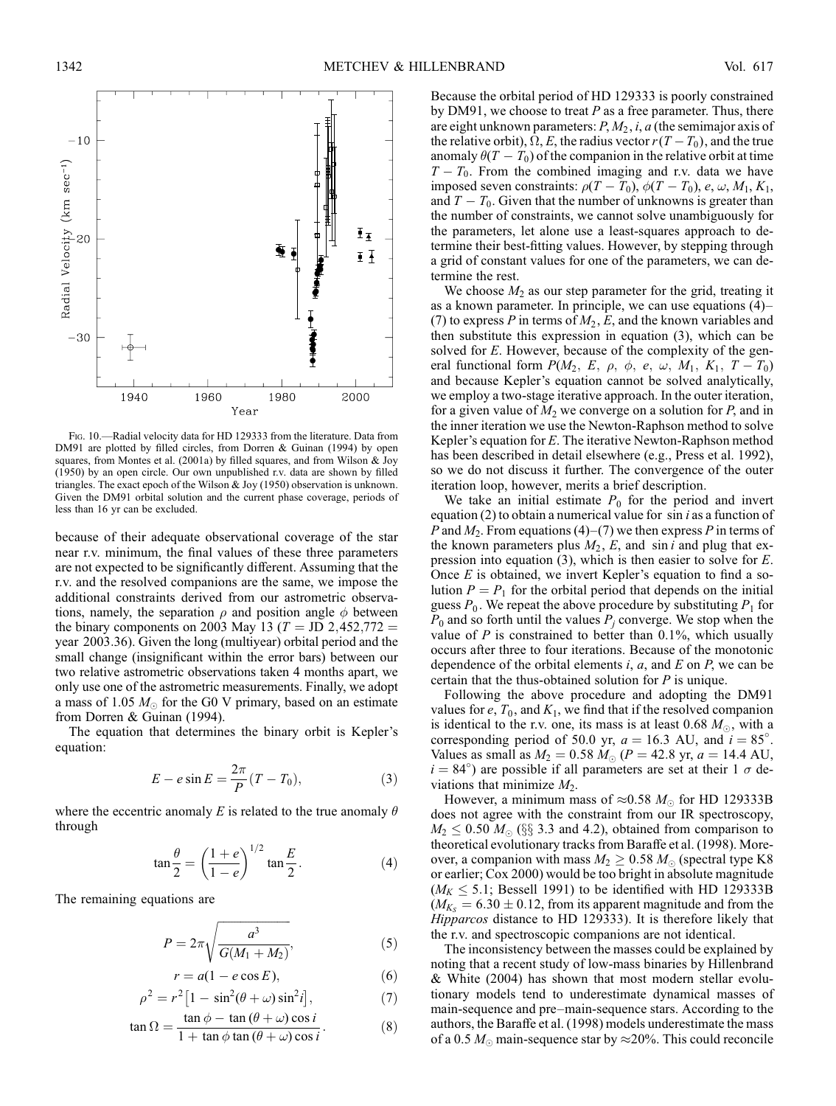

Fig. 10.—Radial velocity data for HD 129333 from the literature. Data from DM91 are plotted by filled circles, from Dorren & Guinan (1994) by open squares, from Montes et al. (2001a) by filled squares, and from Wilson & Joy (1950) by an open circle. Our own unpublished r.v. data are shown by filled triangles. The exact epoch of the Wilson & Joy (1950) observation is unknown. Given the DM91 orbital solution and the current phase coverage, periods of less than 16 yr can be excluded.

because of their adequate observational coverage of the star near r.v. minimum, the final values of these three parameters are not expected to be significantly different. Assuming that the r.v. and the resolved companions are the same, we impose the additional constraints derived from our astrometric observations, namely, the separation  $\rho$  and position angle  $\phi$  between the binary components on 2003 May 13 ( $T = JD 2,452,772 =$ year 2003:36). Given the long (multiyear) orbital period and the small change (insignificant within the error bars) between our two relative astrometric observations taken 4 months apart, we only use one of the astrometric measurements. Finally, we adopt a mass of 1.05  $M_{\odot}$  for the G0 V primary, based on an estimate from Dorren & Guinan (1994).

The equation that determines the binary orbit is Kepler's equation:

$$
E - e \sin E = \frac{2\pi}{P} (T - T_0), \qquad (3)
$$

where the eccentric anomaly E is related to the true anomaly  $\theta$ through

$$
\tan\frac{\theta}{2} = \left(\frac{1+e}{1-e}\right)^{1/2} \tan\frac{E}{2}.
$$
 (4)

The remaining equations are

$$
P = 2\pi \sqrt{\frac{a^3}{G(M_1 + M_2)}},
$$
\n(5)

$$
r = a(1 - e \cos E), \tag{6}
$$

$$
\rho^2 = r^2 \left[ 1 - \sin^2(\theta + \omega) \sin^2 i \right],\tag{7}
$$

$$
\tan \Omega = \frac{\tan \phi - \tan (\theta + \omega) \cos i}{1 + \tan \phi \tan (\theta + \omega) \cos i}.
$$
 (8)

Because the orbital period of HD 129333 is poorly constrained by DM91, we choose to treat  $P$  as a free parameter. Thus, there are eight unknown parameters:  $P, M_2, i, a$  (the semimajor axis of the relative orbit),  $\Omega, E$ , the radius vector  $r(T - T_0)$ , and the true anomaly  $\theta(T-T_0)$  of the companion in the relative orbit at time  $T - T_0$ . From the combined imaging and r.v. data we have imposed seven constraints:  $\rho(T - T_0)$ ,  $\phi(T - T_0)$ , e,  $\omega$ ,  $M_1$ ,  $K_1$ , and  $T - T_0$ . Given that the number of unknowns is greater than the number of constraints, we cannot solve unambiguously for the parameters, let alone use a least-squares approach to determine their best-fitting values. However, by stepping through a grid of constant values for one of the parameters, we can determine the rest.

We choose  $M_2$  as our step parameter for the grid, treating it as a known parameter. In principle, we can use equations (4)– (7) to express P in terms of  $M_2$ , E, and the known variables and then substitute this expression in equation (3), which can be solved for E. However, because of the complexity of the general functional form  $P(M_2, E, \rho, \phi, e, \omega, M_1, K_1, T - T_0)$ and because Kepler's equation cannot be solved analytically, we employ a two-stage iterative approach. In the outer iteration, for a given value of  $M_2$  we converge on a solution for  $P$ , and in the inner iteration we use the Newton-Raphson method to solve Kepler's equation for E. The iterative Newton-Raphson method has been described in detail elsewhere (e.g., Press et al. 1992), so we do not discuss it further. The convergence of the outer iteration loop, however, merits a brief description.

We take an initial estimate  $P_0$  for the period and invert equation (2) to obtain a numerical value for  $\sin i$  as a function of P and  $M_2$ . From equations (4)–(7) we then express P in terms of the known parameters plus  $M_2$ , E, and sin i and plug that expression into equation (3), which is then easier to solve for E. Once  $E$  is obtained, we invert Kepler's equation to find a solution  $P = P_1$  for the orbital period that depends on the initial guess  $P_0$ . We repeat the above procedure by substituting  $P_1$  for  $P_0$  and so forth until the values  $P_i$  converge. We stop when the value of  $P$  is constrained to better than 0.1%, which usually occurs after three to four iterations. Because of the monotonic dependence of the orbital elements  $i$ ,  $a$ , and  $E$  on  $P$ , we can be certain that the thus-obtained solution for P is unique.

Following the above procedure and adopting the DM91 values for  $e$ ,  $T_0$ , and  $K_1$ , we find that if the resolved companion is identical to the r.v. one, its mass is at least 0.68  $M_{\odot}$ , with a corresponding period of 50.0 yr,  $a = 16.3$  AU, and  $i = 85^{\circ}$ . Values as small as  $M_2 = 0.58 M_{\odot} (P = 42.8 \text{ yr}, a = 14.4 \text{ AU},$  $i = 84^{\circ}$ ) are possible if all parameters are set at their 1  $\sigma$  deviations that minimize  $M_2$ .

However, a minimum mass of  $\approx 0.58$   $M_{\odot}$  for HD 129333B does not agree with the constraint from our IR spectroscopy,  $M_2 \leq 0.50$   $M_{\odot}$  (§§ 3.3 and 4.2), obtained from comparison to theoretical evolutionary tracks from Baraffe et al. (1998). Moreover, a companion with mass  $M_2 \geq 0.58 M_{\odot}$  (spectral type K8) or earlier; Cox 2000) would be too bright in absolute magnitude  $(M_K \leq 5.1;$  Bessell 1991) to be identified with HD 129333B  $(M_{K_s} = 6.30 \pm 0.12$ , from its apparent magnitude and from the Hipparcos distance to HD 129333). It is therefore likely that the r.v. and spectroscopic companions are not identical.

The inconsistency between the masses could be explained by noting that a recent study of low-mass binaries by Hillenbrand & White (2004) has shown that most modern stellar evolutionary models tend to underestimate dynamical masses of main-sequence and pre–main-sequence stars. According to the authors, the Baraffe et al. (1998) models underestimate the mass of a 0.5  $M_{\odot}$  main-sequence star by  $\approx$  20%. This could reconcile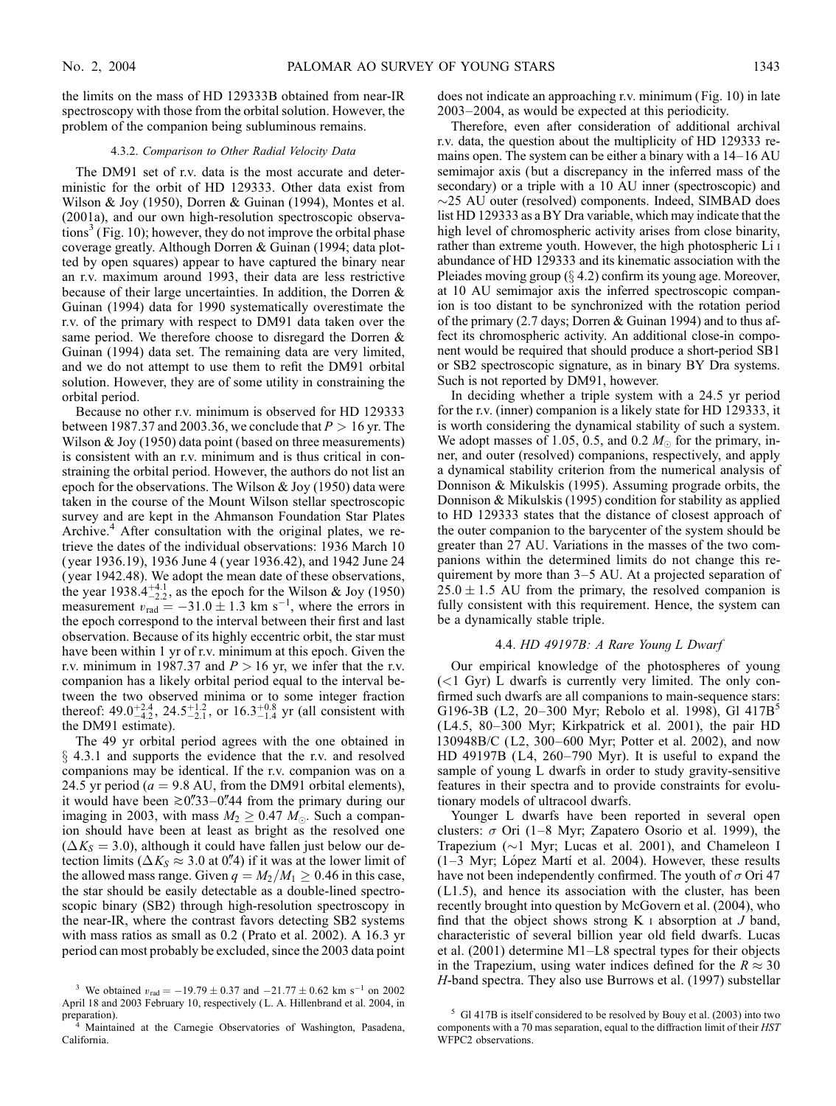the limits on the mass of HD 129333B obtained from near-IR spectroscopy with those from the orbital solution. However, the problem of the companion being subluminous remains.

#### 4.3.2. Comparison to Other Radial Velocity Data

The DM91 set of r.v. data is the most accurate and deterministic for the orbit of HD 129333. Other data exist from Wilson & Joy (1950), Dorren & Guinan (1994), Montes et al. (2001a), and our own high-resolution spectroscopic observations<sup>3</sup> (Fig. 10); however, they do not improve the orbital phase coverage greatly. Although Dorren & Guinan (1994; data plotted by open squares) appear to have captured the binary near an r.v. maximum around 1993, their data are less restrictive because of their large uncertainties. In addition, the Dorren & Guinan (1994) data for 1990 systematically overestimate the r.v. of the primary with respect to DM91 data taken over the same period. We therefore choose to disregard the Dorren & Guinan (1994) data set. The remaining data are very limited, and we do not attempt to use them to refit the DM91 orbital solution. However, they are of some utility in constraining the orbital period.

Because no other r.v. minimum is observed for HD 129333 between 1987.37 and 2003.36, we conclude that  $P > 16$  yr. The Wilson & Joy (1950) data point (based on three measurements) is consistent with an r.v. minimum and is thus critical in constraining the orbital period. However, the authors do not list an epoch for the observations. The Wilson & Joy (1950) data were taken in the course of the Mount Wilson stellar spectroscopic survey and are kept in the Ahmanson Foundation Star Plates Archive.<sup>4</sup> After consultation with the original plates, we retrieve the dates of the individual observations: 1936 March 10 ( year 1936.19), 1936 June 4 ( year 1936.42), and 1942 June 24 ( year 1942.48). We adopt the mean date of these observations, the year 1938. $4^{+4.1}_{-2.2}$ , as the epoch for the Wilson & Joy (1950) measurement  $v_{\text{rad}} = -31.0 \pm 1.3 \text{ km s}^{-1}$ , where the errors in the epoch correspond to the interval between their first and last observation. Because of its highly eccentric orbit, the star must have been within 1 yr of r.v. minimum at this epoch. Given the r.v. minimum in 1987.37 and  $P > 16$  yr, we infer that the r.v. companion has a likely orbital period equal to the interval between the two observed minima or to some integer fraction thereof: 49.0<sup>+2.4</sup>, 24.5<sup>+1.2</sup>, or 16.3<sup>+0.8</sup> yr (all consistent with the DM91 estimate).

The 49 yr orbital period agrees with the one obtained in  $\S$  4.3.1 and supports the evidence that the r.v. and resolved companions may be identical. If the r.v. companion was on a 24.5 yr period ( $a = 9.8$  AU, from the DM91 orbital elements), it would have been  $\ge 0$ ."33–0."44 from the primary during our imaging in 2003, with mass  $M_2 \geq 0.47$   $M_{\odot}$ . Such a companion should have been at least as bright as the resolved one  $(\Delta K_S = 3.0)$ , although it could have fallen just below our detection limits ( $\Delta K_S \approx 3.0$  at 0.4) if it was at the lower limit of the allowed mass range. Given  $q = M_2/M_1 \geq 0.46$  in this case, the star should be easily detectable as a double-lined spectroscopic binary (SB2) through high-resolution spectroscopy in the near-IR, where the contrast favors detecting SB2 systems with mass ratios as small as 0.2 ( Prato et al. 2002). A 16.3 yr period can most probably be excluded, since the 2003 data point does not indicate an approaching r.v. minimum ( Fig. 10) in late 2003–2004, as would be expected at this periodicity.

Therefore, even after consideration of additional archival r.v. data, the question about the multiplicity of HD 129333 remains open. The system can be either a binary with a 14–16 AU semimajor axis (but a discrepancy in the inferred mass of the secondary) or a triple with a 10 AU inner (spectroscopic) and  $\sim$ 25 AU outer (resolved) components. Indeed, SIMBAD does list HD 129333 as a BY Dra variable, which may indicate that the high level of chromospheric activity arises from close binarity, rather than extreme youth. However, the high photospheric Li i abundance of HD 129333 and its kinematic association with the Pleiades moving group  $(\S 4.2)$  confirm its young age. Moreover, at 10 AU semimajor axis the inferred spectroscopic companion is too distant to be synchronized with the rotation period of the primary (2.7 days; Dorren & Guinan 1994) and to thus affect its chromospheric activity. An additional close-in component would be required that should produce a short-period SB1 or SB2 spectroscopic signature, as in binary BY Dra systems. Such is not reported by DM91, however.

In deciding whether a triple system with a 24.5 yr period for the r.v. (inner) companion is a likely state for HD 129333, it is worth considering the dynamical stability of such a system. We adopt masses of 1.05, 0.5, and 0.2  $M_{\odot}$  for the primary, inner, and outer (resolved) companions, respectively, and apply a dynamical stability criterion from the numerical analysis of Donnison & Mikulskis (1995). Assuming prograde orbits, the Donnison & Mikulskis (1995) condition for stability as applied to HD 129333 states that the distance of closest approach of the outer companion to the barycenter of the system should be greater than 27 AU. Variations in the masses of the two companions within the determined limits do not change this requirement by more than 3–5 AU. At a projected separation of  $25.0 \pm 1.5$  AU from the primary, the resolved companion is fully consistent with this requirement. Hence, the system can be a dynamically stable triple.

### 4.4.  $HD$  49197B: A Rare Young L Dwarf

Our empirical knowledge of the photospheres of young  $(<1$  Gyr) L dwarfs is currently very limited. The only confirmed such dwarfs are all companions to main-sequence stars: G196-3B (L2, 20–300 Myr; Rebolo et al. 1998), Gl  $417B^3$ (L4.5, 80–300 Myr; Kirkpatrick et al. 2001), the pair HD 130948B/C (L2, 300–600 Myr; Potter et al. 2002), and now HD 49197B (L4, 260–790 Myr). It is useful to expand the sample of young L dwarfs in order to study gravity-sensitive features in their spectra and to provide constraints for evolutionary models of ultracool dwarfs.

Younger L dwarfs have been reported in several open clusters:  $\sigma$  Ori (1–8 Myr; Zapatero Osorio et al. 1999), the Trapezium ( $\sim$ 1 Myr; Lucas et al. 2001), and Chameleon I  $(1-3$  Myr; López Martí et al. 2004). However, these results have not been independently confirmed. The youth of  $\sigma$  Ori 47 (L1.5), and hence its association with the cluster, has been recently brought into question by McGovern et al. (2004), who find that the object shows strong  $K_1$  absorption at  $J$  band, characteristic of several billion year old field dwarfs. Lucas et al. (2001) determine M1–L8 spectral types for their objects in the Trapezium, using water indices defined for the  $R \approx 30$ <sup>3</sup> We obtained  $v_{\text{rad}} = -19.79 \pm 0.37$  and  $-21.77 \pm 0.62$  km s<sup>-1</sup> on 2002 *H*-band spectra. They also use Burrows et al. (1997) substellar

April 18 and 2003 February 10, respectively ( L. A. Hillenbrand et al. 2004, in preparation).

<sup>4</sup> Maintained at the Carnegie Observatories of Washington, Pasadena, California.

<sup>5</sup> Gl 417B is itself considered to be resolved by Bouy et al. (2003) into two components with a 70 mas separation, equal to the diffraction limit of their HST WFPC2 observations.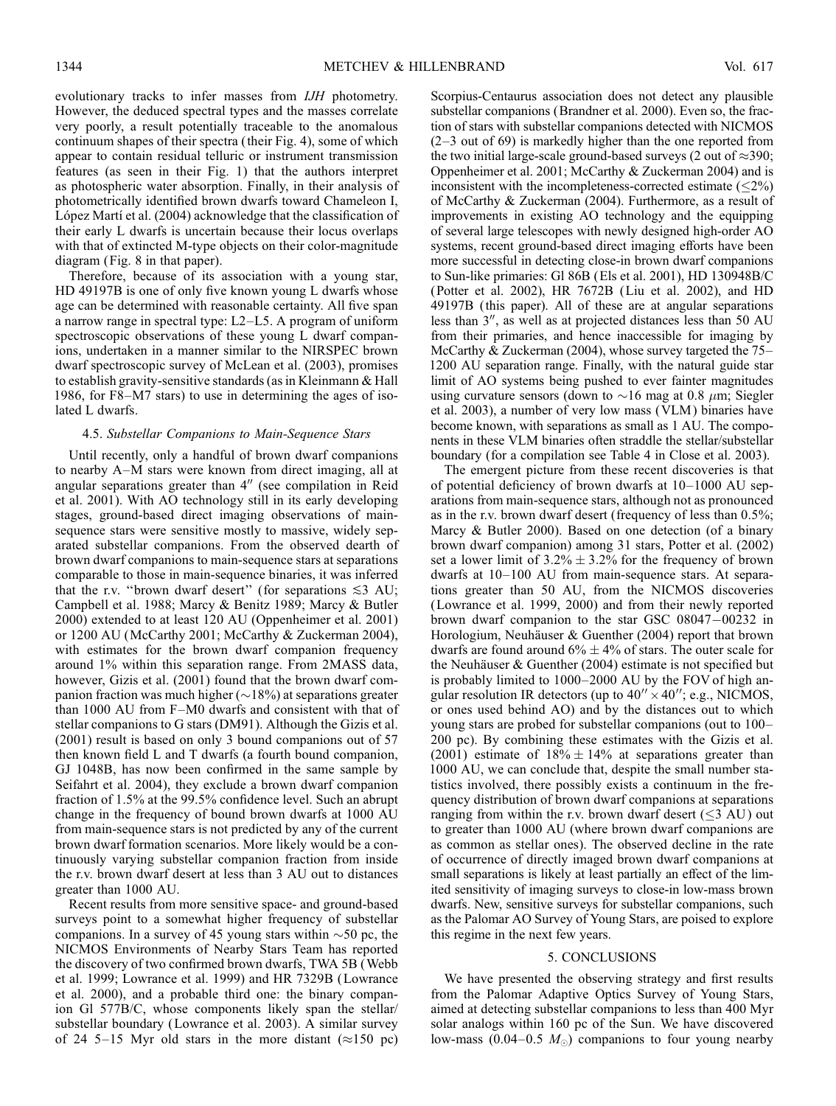evolutionary tracks to infer masses from IJH photometry. However, the deduced spectral types and the masses correlate very poorly, a result potentially traceable to the anomalous continuum shapes of their spectra (their Fig. 4), some of which appear to contain residual telluric or instrument transmission features (as seen in their Fig. 1) that the authors interpret as photospheric water absorption. Finally, in their analysis of photometrically identified brown dwarfs toward Chameleon I, López Martí et al. (2004) acknowledge that the classification of their early L dwarfs is uncertain because their locus overlaps with that of extincted M-type objects on their color-magnitude diagram (Fig. 8 in that paper).

Therefore, because of its association with a young star, HD 49197B is one of only five known young L dwarfs whose age can be determined with reasonable certainty. All five span a narrow range in spectral type: L2–L5. A program of uniform spectroscopic observations of these young L dwarf companions, undertaken in a manner similar to the NIRSPEC brown dwarf spectroscopic survey of McLean et al. (2003), promises to establish gravity-sensitive standards (as in Kleinmann & Hall 1986, for F8–M7 stars) to use in determining the ages of isolated L dwarfs.

### 4.5. Substellar Companions to Main-Sequence Stars

Until recently, only a handful of brown dwarf companions to nearby A–M stars were known from direct imaging, all at angular separations greater than  $4''$  (see compilation in Reid et al. 2001). With AO technology still in its early developing stages, ground-based direct imaging observations of mainsequence stars were sensitive mostly to massive, widely separated substellar companions. From the observed dearth of brown dwarf companions to main-sequence stars at separations comparable to those in main-sequence binaries, it was inferred that the r.v. "brown dwarf desert" (for separations  $\leq 3$  AU; Campbell et al. 1988; Marcy & Benitz 1989; Marcy & Butler 2000) extended to at least 120 AU (Oppenheimer et al. 2001) or 1200 AU (McCarthy 2001; McCarthy & Zuckerman 2004), with estimates for the brown dwarf companion frequency around 1% within this separation range. From 2MASS data, however, Gizis et al. (2001) found that the brown dwarf companion fraction was much higher  $(\sim 18\%)$  at separations greater than 1000 AU from F–M0 dwarfs and consistent with that of stellar companions to G stars (DM91). Although the Gizis et al. (2001) result is based on only 3 bound companions out of 57 then known field L and T dwarfs (a fourth bound companion, GJ 1048B, has now been confirmed in the same sample by Seifahrt et al. 2004), they exclude a brown dwarf companion fraction of 1.5% at the 99.5% confidence level. Such an abrupt change in the frequency of bound brown dwarfs at 1000 AU from main-sequence stars is not predicted by any of the current brown dwarf formation scenarios. More likely would be a continuously varying substellar companion fraction from inside the r.v. brown dwarf desert at less than 3 AU out to distances greater than 1000 AU.

Recent results from more sensitive space- and ground-based surveys point to a somewhat higher frequency of substellar companions. In a survey of 45 young stars within  $\sim$  50 pc, the NICMOS Environments of Nearby Stars Team has reported the discovery of two confirmed brown dwarfs, TWA 5B (Webb et al. 1999; Lowrance et al. 1999) and HR 7329B (Lowrance et al. 2000), and a probable third one: the binary companion Gl 577B/C, whose components likely span the stellar/ substellar boundary (Lowrance et al. 2003). A similar survey of 24 5–15 Myr old stars in the more distant  $(\approx 150 \text{ pc})$ 

Scorpius-Centaurus association does not detect any plausible substellar companions (Brandner et al. 2000). Even so, the fraction of stars with substellar companions detected with NICMOS (2–3 out of 69) is markedly higher than the one reported from the two initial large-scale ground-based surveys (2 out of  $\approx$  390; Oppenheimer et al. 2001; McCarthy & Zuckerman 2004) and is inconsistent with the incompleteness-corrected estimate  $(\leq 2\%)$ of McCarthy & Zuckerman (2004). Furthermore, as a result of improvements in existing AO technology and the equipping of several large telescopes with newly designed high-order AO systems, recent ground-based direct imaging efforts have been more successful in detecting close-in brown dwarf companions to Sun-like primaries: Gl 86B (Els et al. 2001), HD 130948B/C (Potter et al. 2002), HR 7672B (Liu et al. 2002), and HD 49197B (this paper). All of these are at angular separations less than  $3''$ , as well as at projected distances less than 50 AU from their primaries, and hence inaccessible for imaging by McCarthy & Zuckerman (2004), whose survey targeted the 75– 1200 AU separation range. Finally, with the natural guide star limit of AO systems being pushed to ever fainter magnitudes using curvature sensors (down to  $\sim$ 16 mag at 0.8  $\mu$ m; Siegler et al. 2003), a number of very low mass (VLM ) binaries have become known, with separations as small as 1 AU. The components in these VLM binaries often straddle the stellar/substellar boundary (for a compilation see Table 4 in Close et al. 2003).

The emergent picture from these recent discoveries is that of potential deficiency of brown dwarfs at 10–1000 AU separations from main-sequence stars, although not as pronounced as in the r.v. brown dwarf desert (frequency of less than 0.5%; Marcy & Butler 2000). Based on one detection (of a binary brown dwarf companion) among 31 stars, Potter et al. (2002) set a lower limit of  $3.2\% \pm 3.2\%$  for the frequency of brown dwarfs at 10–100 AU from main-sequence stars. At separations greater than 50 AU, from the NICMOS discoveries (Lowrance et al. 1999, 2000) and from their newly reported brown dwarf companion to the star GSC 08047-00232 in Horologium, Neuhäuser & Guenther (2004) report that brown dwarfs are found around  $6\% \pm 4\%$  of stars. The outer scale for the Neuhäuser & Guenther (2004) estimate is not specified but is probably limited to 1000–2000 AU by the FOV of high angular resolution IR detectors (up to  $40'' \times 40''$ ; e.g., NICMOS, or ones used behind AO) and by the distances out to which young stars are probed for substellar companions (out to 100– 200 pc). By combining these estimates with the Gizis et al. (2001) estimate of  $18\% \pm 14\%$  at separations greater than 1000 AU, we can conclude that, despite the small number statistics involved, there possibly exists a continuum in the frequency distribution of brown dwarf companions at separations ranging from within the r.v. brown dwarf desert  $(\leq 3 \text{ AU})$  out to greater than 1000 AU (where brown dwarf companions are as common as stellar ones). The observed decline in the rate of occurrence of directly imaged brown dwarf companions at small separations is likely at least partially an effect of the limited sensitivity of imaging surveys to close-in low-mass brown dwarfs. New, sensitive surveys for substellar companions, such as the Palomar AO Survey of Young Stars, are poised to explore this regime in the next few years.

### 5. CONCLUSIONS

We have presented the observing strategy and first results from the Palomar Adaptive Optics Survey of Young Stars, aimed at detecting substellar companions to less than 400 Myr solar analogs within 160 pc of the Sun. We have discovered low-mass (0.04–0.5  $M_{\odot}$ ) companions to four young nearby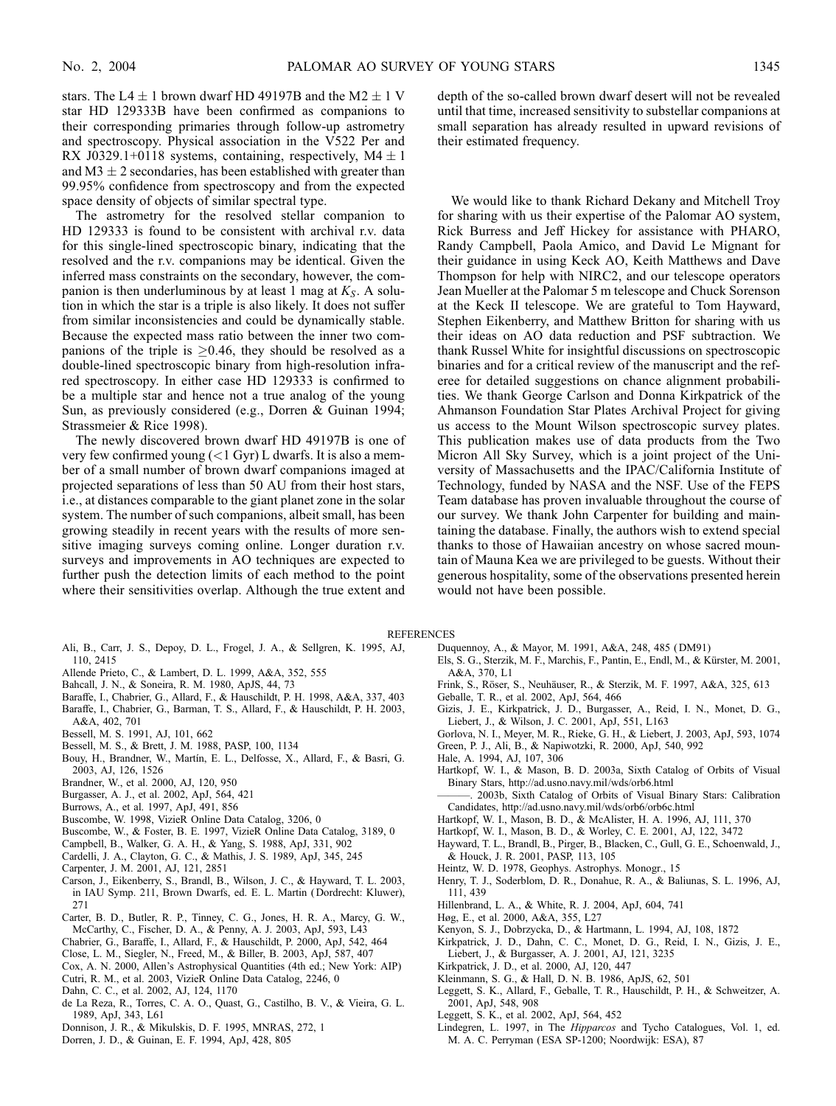stars. The L4  $\pm$  1 brown dwarf HD 49197B and the M2  $\pm$  1 V star HD 129333B have been confirmed as companions to their corresponding primaries through follow-up astrometry and spectroscopy. Physical association in the V522 Per and RX J0329.1+0118 systems, containing, respectively,  $M4 \pm 1$ and  $M3 \pm 2$  secondaries, has been established with greater than 99.95% confidence from spectroscopy and from the expected space density of objects of similar spectral type.

The astrometry for the resolved stellar companion to HD 129333 is found to be consistent with archival r.v. data for this single-lined spectroscopic binary, indicating that the resolved and the r.v. companions may be identical. Given the inferred mass constraints on the secondary, however, the companion is then underluminous by at least 1 mag at  $K_s$ . A solution in which the star is a triple is also likely. It does not suffer from similar inconsistencies and could be dynamically stable. Because the expected mass ratio between the inner two companions of the triple is  $\geq$ 0.46, they should be resolved as a double-lined spectroscopic binary from high-resolution infrared spectroscopy. In either case HD 129333 is confirmed to be a multiple star and hence not a true analog of the young Sun, as previously considered (e.g., Dorren & Guinan 1994; Strassmeier & Rice 1998).

The newly discovered brown dwarf HD 49197B is one of very few confirmed young  $(<1$  Gyr) L dwarfs. It is also a member of a small number of brown dwarf companions imaged at projected separations of less than 50 AU from their host stars, i.e., at distances comparable to the giant planet zone in the solar system. The number of such companions, albeit small, has been growing steadily in recent years with the results of more sensitive imaging surveys coming online. Longer duration r.v. surveys and improvements in AO techniques are expected to further push the detection limits of each method to the point where their sensitivities overlap. Although the true extent and

- Ali, B., Carr, J. S., Depoy, D. L., Frogel, J. A., & Sellgren, K. 1995, AJ, 110, 2415
- Allende Prieto, C., & Lambert, D. L. 1999, A&A, 352, 555
- Bahcall, J. N., & Soneira, R. M. 1980, ApJS, 44, 73
- Baraffe, I., Chabrier, G., Allard, F., & Hauschildt, P. H. 1998, A&A, 337, 403
- Baraffe, I., Chabrier, G., Barman, T. S., Allard, F., & Hauschildt, P. H. 2003,
- A&A, 402, 701
- Bessell, M. S. 1991, AJ, 101, 662
- Bessell, M. S., & Brett, J. M. 1988, PASP, 100, 1134
- Bouy, H., Brandner, W., Martín, E. L., Delfosse, X., Allard, F., & Basri, G.
- 2003, AJ, 126, 1526
- Brandner, W., et al. 2000, AJ, 120, 950
- Burgasser, A. J., et al. 2002, ApJ, 564, 421
- Burrows, A., et al. 1997, ApJ, 491, 856
- Buscombe, W. 1998, VizieR Online Data Catalog, 3206, 0
- Buscombe, W., & Foster, B. E. 1997, VizieR Online Data Catalog, 3189, 0
- Campbell, B., Walker, G. A. H., & Yang, S. 1988, ApJ, 331, 902
- Cardelli, J. A., Clayton, G. C., & Mathis, J. S. 1989, ApJ, 345, 245
- Carpenter, J. M. 2001, AJ, 121, 2851
- Carson, J., Eikenberry, S., Brandl, B., Wilson, J. C., & Hayward, T. L. 2003, in IAU Symp. 211, Brown Dwarfs, ed. E. L. Martin ( Dordrecht: Kluwer), 271
- Carter, B. D., Butler, R. P., Tinney, C. G., Jones, H. R. A., Marcy, G. W., McCarthy, C., Fischer, D. A., & Penny, A. J. 2003, ApJ, 593, L43
- Chabrier, G., Baraffe, I., Allard, F., & Hauschildt, P. 2000, ApJ, 542, 464
- Close, L. M., Siegler, N., Freed, M., & Biller, B. 2003, ApJ, 587, 407
- Cox, A. N. 2000, Allen's Astrophysical Quantities (4th ed.; New York: AIP)
- Cutri, R. M., et al. 2003, VizieR Online Data Catalog, 2246, 0
- Dahn, C. C., et al. 2002, AJ, 124, 1170
- de La Reza, R., Torres, C. A. O., Quast, G., Castilho, B. V., & Vieira, G. L. 1989, ApJ, 343, L61
- Donnison, J. R., & Mikulskis, D. F. 1995, MNRAS, 272, 1
- Dorren, J. D., & Guinan, E. F. 1994, ApJ, 428, 805

depth of the so-called brown dwarf desert will not be revealed until that time, increased sensitivity to substellar companions at small separation has already resulted in upward revisions of their estimated frequency.

We would like to thank Richard Dekany and Mitchell Troy for sharing with us their expertise of the Palomar AO system, Rick Burress and Jeff Hickey for assistance with PHARO, Randy Campbell, Paola Amico, and David Le Mignant for their guidance in using Keck AO, Keith Matthews and Dave Thompson for help with NIRC2, and our telescope operators Jean Mueller at the Palomar 5 m telescope and Chuck Sorenson at the Keck II telescope. We are grateful to Tom Hayward, Stephen Eikenberry, and Matthew Britton for sharing with us their ideas on AO data reduction and PSF subtraction. We thank Russel White for insightful discussions on spectroscopic binaries and for a critical review of the manuscript and the referee for detailed suggestions on chance alignment probabilities. We thank George Carlson and Donna Kirkpatrick of the Ahmanson Foundation Star Plates Archival Project for giving us access to the Mount Wilson spectroscopic survey plates. This publication makes use of data products from the Two Micron All Sky Survey, which is a joint project of the University of Massachusetts and the IPAC/California Institute of Technology, funded by NASA and the NSF. Use of the FEPS Team database has proven invaluable throughout the course of our survey. We thank John Carpenter for building and maintaining the database. Finally, the authors wish to extend special thanks to those of Hawaiian ancestry on whose sacred mountain of Mauna Kea we are privileged to be guests. Without their generous hospitality, some of the observations presented herein would not have been possible.

- **REFERENCES** 
	- Duquennoy, A., & Mayor, M. 1991, A&A, 248, 485 ( DM91)
	- Els, S. G., Sterzik, M. F., Marchis, F., Pantin, E., Endl, M., & Kürster, M. 2001, A&A, 370, L1
	- Frink, S., Röser, S., Neuhäuser, R., & Sterzik, M. F. 1997, A&A, 325, 613
	- Geballe, T. R., et al. 2002, ApJ, 564, 466
	- Gizis, J. E., Kirkpatrick, J. D., Burgasser, A., Reid, I. N., Monet, D. G., Liebert, J., & Wilson, J. C. 2001, ApJ, 551, L163
	- Gorlova, N. I., Meyer, M. R., Rieke, G. H., & Liebert, J. 2003, ApJ, 593, 1074
	- Green, P. J., Ali, B., & Napiwotzki, R. 2000, ApJ, 540, 992
	- Hale, A. 1994, AJ, 107, 306
	- Hartkopf, W. I., & Mason, B. D. 2003a, Sixth Catalog of Orbits of Visual Binary Stars, http://ad.usno.navy.mil/wds/orb6.html
	- 2003b, Sixth Catalog of Orbits of Visual Binary Stars: Calibration Candidates, http://ad.usno.navy.mil/wds/orb6/orb6c.html
	- Hartkopf, W. I., Mason, B. D., & McAlister, H. A. 1996, AJ, 111, 370
	- Hartkopf, W. I., Mason, B. D., & Worley, C. E. 2001, AJ, 122, 3472
	- Hayward, T. L., Brandl, B., Pirger, B., Blacken, C., Gull, G. E., Schoenwald, J., & Houck, J. R. 2001, PASP, 113, 105
	- Heintz, W. D. 1978, Geophys. Astrophys. Monogr., 15
	- Henry, T. J., Soderblom, D. R., Donahue, R. A., & Baliunas, S. L. 1996, AJ, 111, 439
	- Hillenbrand, L. A., & White, R. J. 2004, ApJ, 604, 741
	- Høg, E., et al. 2000, A&A, 355, L27
	- Kenyon, S. J., Dobrzycka, D., & Hartmann, L. 1994, AJ, 108, 1872
	- Kirkpatrick, J. D., Dahn, C. C., Monet, D. G., Reid, I. N., Gizis, J. E., Liebert, J., & Burgasser, A. J. 2001, AJ, 121, 3235
	- Kirkpatrick, J. D., et al. 2000, AJ, 120, 447
	- Kleinmann, S. G., & Hall, D. N. B. 1986, ApJS, 62, 501
	- Leggett, S. K., Allard, F., Geballe, T. R., Hauschildt, P. H., & Schweitzer, A. 2001, ApJ, 548, 908
	- Leggett, S. K., et al. 2002, ApJ, 564, 452
	- Lindegren, L. 1997, in The Hipparcos and Tycho Catalogues, Vol. 1, ed. M. A. C. Perryman ( ESA SP-1200; Noordwijk: ESA), 87